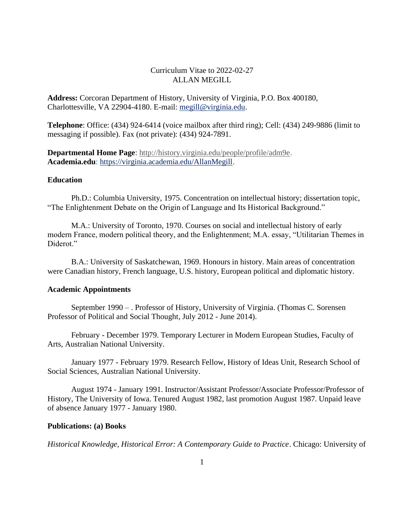# Curriculum Vitae to 2022-02-27 ALLAN MEGILL

**Address:** Corcoran Department of History, University of Virginia, P.O. Box 400180, Charlottesville, VA 22904-4180. E-mail: [megill@virginia.edu.](mailto:megill@virginia.edu)

**Telephone**: Office: (434) 924-6414 (voice mailbox after third ring); Cell: (434) 249-9886 (limit to messaging if possible). Fax (not private): (434) 924-7891.

**Departmental Home Page**: [http://history.virginia.edu/people/profile/adm9e.](http://history.virginia.edu/people/profile/adm9e) **Academia.edu**: [https://virginia.academia.edu/AllanMegill.](https://virginia.academia.edu/AllanMegill)

# **Education**

Ph.D.: Columbia University, 1975. Concentration on intellectual history; dissertation topic, "The Enlightenment Debate on the Origin of Language and Its Historical Background."

M.A.: University of Toronto, 1970. Courses on social and intellectual history of early modern France, modern political theory, and the Enlightenment; M.A. essay, "Utilitarian Themes in Diderot."

B.A.: University of Saskatchewan, 1969. Honours in history. Main areas of concentration were Canadian history, French language, U.S. history, European political and diplomatic history.

## **Academic Appointments**

September 1990 – . Professor of History, University of Virginia. (Thomas C. Sorensen Professor of Political and Social Thought, July 2012 - June 2014).

February - December 1979. Temporary Lecturer in Modern European Studies, Faculty of Arts, Australian National University.

January 1977 - February 1979. Research Fellow, History of Ideas Unit, Research School of Social Sciences, Australian National University.

August 1974 - January 1991. Instructor/Assistant Professor/Associate Professor/Professor of History, The University of Iowa. Tenured August 1982, last promotion August 1987. Unpaid leave of absence January 1977 - January 1980.

## **Publications: (a) Books**

*Historical Knowledge, Historical Error: A Contemporary Guide to Practice*. Chicago: University of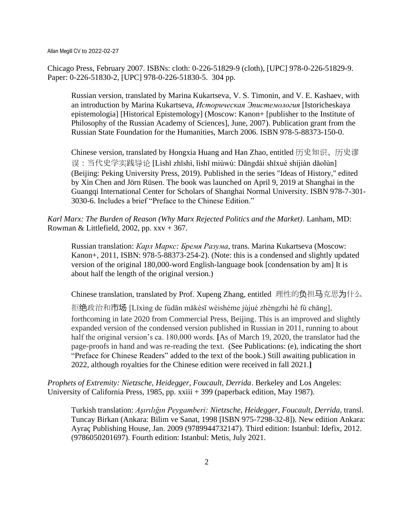Chicago Press, February 2007. ISBNs: cloth: 0-226-51829-9 (cloth), [UPC] 978-0-226-51829-9. Paper: 0-226-51830-2, [UPC] 978-0-226-51830-5. 304 pp.

Russian version, translated by Marina Kukartseva, V. S. Timonin, and V. E. Kashaev, with an introduction by Marina Kukartseva, *Историческая Эпистемология* [Istoricheskaya epistemologia] [Historical Epistemology] (Moscow: Kanon+ [publisher to the Institute of Philosophy of the Russian Academy of Sciences], June, 2007). Publication grant from the Russian State Foundation for the Humanities, March 2006. ISBN 978-5-88373-150-0.

Chinese version, translated by Hongxia Huang and Han Zhao, entitled 历史知识、历史谬 误:当代史学实践导论 [Lìshǐ zhīshì, lìshǐ miùwù: Dāngdài shǐxué shíjiàn dǎolùn] (Beijing: Peking University Press, 2019). Published in the series "Ideas of History," edited by Xin Chen and Jörn Rüsen. The book was launched on April 9, 2019 at Shanghai in the Guangqi International Center for Scholars of Shanghai Normal University. ISBN 978-7-301- 3030-6. Includes a brief "Preface to the Chinese Edition."

*Karl Marx: The Burden of Reason (Why Marx Rejected Politics and the Market)*. Lanham, MD: Rowman & Littlefield, 2002, pp.  $xxv + 367$ .

Russian translation: *Карл Маркс: Бремя Разума*, trans. Marina Kukartseva (Moscow: Kanon+, 2011, ISBN: 978-5-88373-254-2). (Note: this is a condensed and slightly updated version of the original 180,000-word English-language book [condensation by am] It is about half the length of the original version.)

Chinese translation, translated by Prof. Xupeng Zhang, entitled 理性的负担马克思为什么

拒绝政治和**市场** [Lǐxìng de fùdān mǎkèsī wèishéme jùjué zhèngzhì hé fú chǎng], forthcoming in late 2020 from Commercial Press, Beijing. This is an improved and slightly expanded version of the condensed version published in Russian in 2011, running to about half the original version's ca. 180,000 words. **[**As of March 19, 2020, the translator had the page-proofs in hand and was re-reading the text. (See Publications: (e), indicating the short "Preface for Chinese Readers" added to the text of the book.) Still awaiting publication in 2022, although royalties for the Chinese edition were received in fall 2021.**]**

*Prophets of Extremity: Nietzsche, Heidegger, Foucault, Derrida*. Berkeley and Los Angeles: University of California Press, 1985, pp. xxiii + 399 (paperback edition, May 1987).

Turkish translation: *Aşırılığın Peygamberi: Nietzsche, Heidegger, Foucault, Derrida*, transl. Tuncay Birkan (Ankara: Bilim ve Sanat, 1998 [ISBN 975-7298-32-8]). New edition Ankara: Ayraç Publishing House, Jan. 2009 (9789944732147). Third edition: Istanbul: Idefix, 2012. (9786050201697). Fourth edition: Istanbul: Metis, July 2021.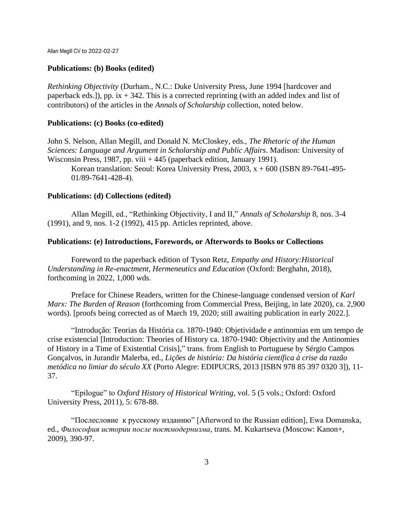#### **Publications: (b) Books (edited)**

*Rethinking Objectivity* (Durham., N.C.: Duke University Press, June 1994 [hardcover and paperback eds.]), pp. ix  $+342$ . This is a corrected reprinting (with an added index and list of contributors) of the articles in the *Annals of Scholarship* collection, noted below.

## **Publications: (c) Books (co-edited)**

John S. Nelson, Allan Megill, and Donald N. McCloskey, eds., *The Rhetoric of the Human Sciences: Language and Argument in Scholarship and Public Affairs*. Madison: University of Wisconsin Press, 1987, pp. viii + 445 (paperback edition, January 1991).

Korean translation: Seoul: Korea University Press, 2003, x + 600 (ISBN 89-7641-495- 01/89-7641-428-4).

### **Publications: (d) Collections (edited)**

Allan Megill, ed., "Rethinking Objectivity, I and II," *Annals of Scholarship* 8, nos. 3-4 (1991), and 9, nos. 1-2 (1992), 415 pp. Articles reprinted, above.

## **Publications: (e) Introductions, Forewords, or Afterwords to Books or Collections**

Foreword to the paperback edition of Tyson Retz, *Empathy and History:Historical Understanding in Re-enactment, Hermeneutics and Education* (Oxford: Berghahn, 2018), forthcoming in 2022, 1,000 wds.

Preface for Chinese Readers, written for the Chinese-language condensed version of *Karl Marx: The Burden of Reason* (forthcoming from Commercial Press, Beijing, in late 2020), ca. 2,900 words). [proofs being corrected as of March 19, 2020; still awaiting publication in early 2022.].

"Introdução: Teorias da História ca. 1870-1940: Objetividade e antinomias em um tempo de crise existencial [Introduction: Theories of History ca. 1870-1940: Objectivity and the Antinomies of History in a Time of Existential Crisis]," trans. from English to Portuguese by Sérgio Campos Gonçalvos, in Jurandir Malerba, ed., *Lições de história: Da história científica à crise da razão metódica no limiar do século XX* (Porto Alegre: EDIPUCRS, 2013 [ISBN 978 85 397 0320 3]), 11- 37.

"Epilogue" to *Oxford History of Historical Writing,* vol. 5 (5 vols.; Oxford: Oxford University Press, 2011), 5: 678-88.

"Послесловие к русскому изданию" [Afterword to the Russian edition], Ewa Domanska, ed., *Философия истории после постмодернизма*, trans. M. Kukartseva (Moscow: Kanon+, 2009), 390-97.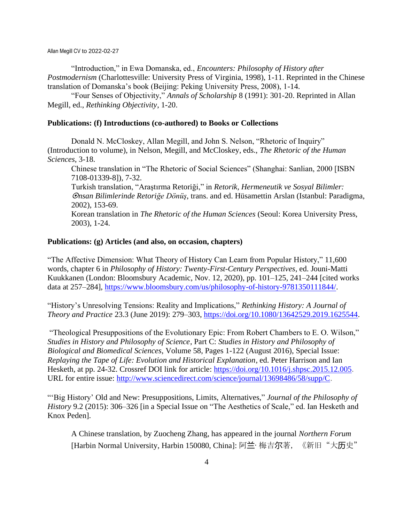"Introduction," in Ewa Domanska, ed., *Encounters: Philosophy of History after Postmodernism* (Charlottesville: University Press of Virginia, 1998), 1-11. Reprinted in the Chinese translation of Domanska's book (Beijing: Peking University Press, 2008), 1-14.

"Four Senses of Objectivity," *Annals of Scholarship* 8 (1991): 301-20. Reprinted in Allan Megill, ed., *Rethinking Objectivity*, 1-20.

## **Publications: (f) Introductions (co-authored) to Books or Collections**

Donald N. McCloskey, Allan Megill, and John S. Nelson, "Rhetoric of Inquiry" (Introduction to volume), in Nelson, Megill, and McCloskey, eds., *The Rhetoric of the Human Sciences*, 3-18.

Chinese translation in "The Rhetoric of Social Sciences" (Shanghai: Sanlian, 2000 [ISBN 7108-01339-8]), 7-32.

Turkish translation, "Araştırma Retoriği," in *Retorik, Hermeneutik ve Sosyal Bilimler: nsan Bilimlerinde Retoriğe Dönüş*, trans. and ed. Hüsamettin Arslan (Istanbul: Paradigma, 2002), 153-69.

Korean translation in *The Rhetoric of the Human Sciences* (Seoul: Korea University Press, 2003), 1-24.

## **Publications: (g) Articles (and also, on occasion, chapters)**

"The Affective Dimension: What Theory of History Can Learn from Popular History," 11,600 words, chapter 6 in *Philosophy of History: Twenty-First-Century Perspectives*, ed. Jouni-Matti Kuukkanen (London: Bloomsbury Academic, Nov. 12, 2020), pp. 101–125, 241–244 [cited works data at 257–284], [https://www.bloomsbury.com/us/philosophy-of-history-9781350111844/.](https://www.bloomsbury.com/us/philosophy-of-history-9781350111844/)

"History's Unresolving Tensions: Reality and Implications," *Rethinking History: A Journal of Theory and Practice* 23.3 (June 2019): 279–303, [https://doi.org/10.1080/13642529.2019.1625544.](https://doi.org/10.1080/13642529.2019.1625544)

"Theological Presuppositions of the Evolutionary Epic: From Robert Chambers to E. O. Wilson," *Studies in History and Philosophy of Science*, Part C: *Studies in History and Philosophy of Biological and Biomedical Sciences*, Volume 58, Pages 1-122 (August 2016), Special Issue: *Replaying the Tape of Life: Evolution and Historical Explanation*, ed. Peter Harrison and Ian Hesketh*,* at pp. 24-32. Crossref DOI link for article: [https://doi.org/10.1016/j.shpsc.2015.12.005.](https://doi.org/10.1016/j.shpsc.2015.12.005) URL for entire issue: [http://www.sciencedirect.com/science/journal/13698486/58/supp/C.](http://www.sciencedirect.com/science/journal/13698486/58/supp/C)

"'Big History' Old and New: Presuppositions, Limits, Alternatives," *Journal of the Philosophy of History* 9.2 (2015): 306–326 [in a Special Issue on "The Aesthetics of Scale," ed. Ian Hesketh and Knox Peden].

A Chinese translation, by Zuocheng Zhang, has appeared in the journal *Northern Forum*  [Harbin Normal University, Harbin 150080, China]: 阿兰· 梅吉尔著, 《新旧"大历史"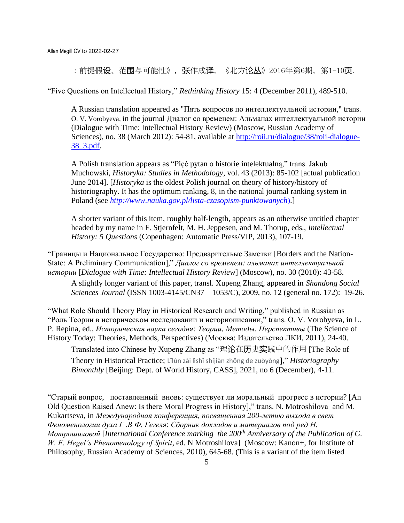:前提假设、范围与可能性》,张作成译,《北方**论丛**》2016年第6期,第1-10**页**.

"Five Questions on Intellectual History," *Rethinking History* 15: 4 (December 2011), 489-510.

A Russian translation appeared as "Пять вопросов по интеллектуальной истории," trans. О. V. Vorobyeva, in the journal Диалог со временем: Альманах интеллектуальной истории (Dialogue with Time: Intellectual History Review) (Moscow, Russian Academy of Sciences), no. 38 (March 2012): 54-81, available at [http://roii.ru/dialogue/38/roii-dialogue-](http://roii.ru/dialogue/38/roii-dialogue-38_3.pdf)[38\\_3.pdf.](http://roii.ru/dialogue/38/roii-dialogue-38_3.pdf)

A Polish translation appears as "Pieć pytan o historie intelektualna," trans. Jakub Muchowski, *Historyka: Studies in Methodology*, vol. 43 (2013): 85-102 [actual publication June 2014]. [*Historyka* is the oldest Polish journal on theory of history/history of historiography. It has the optimum ranking, 8, in the national journal ranking system in Poland (see *[http://www.nauka.gov.pl/lista-czasopism-punktowanych](http://www.nauka.gov.pl/lista-czasopism-punktowanych))*).]

A shorter variant of this item, roughly half-length, appears as an otherwise untitled chapter headed by my name in F. Stjernfelt, M. H. Jeppesen, and M. Thorup, eds., *Intellectual History: 5 Questions* (Copenhagen: Automatic Press/VIP, 2013), 107-19.

"Границы и Национальное Государство: Предварительые Заметки [Borders and the Nation-State: A Preliminary Communication]," *Диалог со временем: альманах интеллектуальной истории* [*Dialogue with Time: Intellectual History Review*] (Moscow), no. 30 (2010): 43-58.

A slightly longer variant of this paper, transl. Xupeng Zhang, appeared in *Shandong Social Sciences Journal* (ISSN 1003-4145/CN37 – 1053/C), 2009, no. 12 (general no. 172): 19-26.

"What Role Should Theory Play in Historical Research and Writing," published in Russian as "Роль Теории в историческом исследовании и историописании," trans. О. V. Vorobyeva, in L. P. Repina, ed., *Историческая наука сегодня: Теории, Методы, Перспективы* (The Science of History Today: Theories, Methods, Perspectives) (Москва: Издательство ЛКИ, 2011), 24-40.

Translated into Chinese by Xupeng Zhang as "理论在历史实践中的作用 [The Role of Theory in Historical Practice; Lǐlùn zài lìshǐ shíjiàn zhōng de zuòyòng]," *Historiography Bimonthly* [Beijing: Dept. of World History, CASS], 2021, no 6 (December), 4-11.

"Старый вопрос, поставленный вновь: существует ли моральный прогресс в истории? [An Old Question Raised Anew: Is there Moral Progress in History]," trans. N. Motroshilova and M. Kukartseva, in *Международная конференция, посвященная 200-летию выхода в свет Феноменологии духа Г .В Ф. Гегеля*: *Сборник докладов и материалов под ред Н. Мотрошиловой* [*International Conference marking the 200th Anniversary of the Publication of G. W. F. Hegel's Phenomenology of Spirit*, ed. N Motroshilova](Moscow: Kanon+, for Institute of Philosophy, Russian Academy of Sciences, 2010), 645-68. (This is a variant of the item listed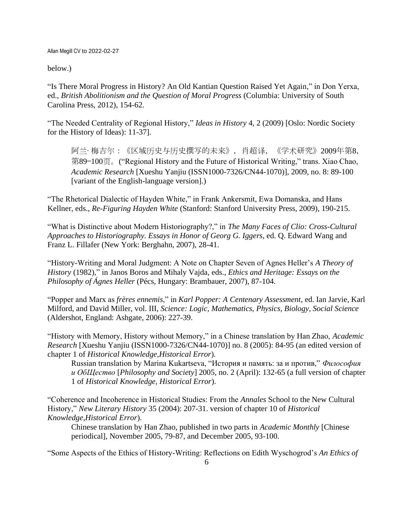below.)

"Is There Moral Progress in History? An Old Kantian Question Raised Yet Again," in Don Yerxa, ed., *British Abolitionism and the Question of Moral Progress* (Columbia: University of South Carolina Press, 2012), 154-62.

"The Needed Centrality of Regional History," *Ideas in History* 4, 2 (2009) [Oslo: Nordic Society for the History of Ideas): 11-37].

阿兰·梅吉尔:《区域历史与历史撰写的未来》,肖超译,《学术研究》2009年第8, 第89—100页。("Regional History and the Future of Historical Writing," trans. Xiao Chao, *Academic Research* [Xueshu Yanjiu (ISSN1000-7326/CN44-1070)], 2009, no. 8: 89-100 [variant of the English-language version].)

"The Rhetorical Dialectic of Hayden White," in Frank Ankersmit, Ewa Domanska, and Hans Kellner, eds., *Re-Figuring Hayden White* (Stanford: Stanford University Press, 2009), 190-215.

"What is Distinctive about Modern Historiography?," in *The Many Faces of Clio: Cross-Cultural Approaches to Historiography. Essays in Honor of Georg G. Iggers*, ed. Q. Edward Wang and Franz L. Fillafer (New York: Berghahn, 2007), 28-41.

"History-Writing and Moral Judgment: A Note on Chapter Seven of Agnes Heller's *A Theory of History* (1982)," in Janos Boros and Mihaly Vajda, eds., *Ethics and Heritage: Essays on the Philosophy of Ágnes Heller* (Pécs, Hungary: Brambauer, 2007), 87-104.

"Popper and Marx as *frères ennemis*," in *Karl Popper: A Centenary Assessment*, ed. Ian Jarvie, Karl Milford, and David Miller, vol. III, *Science: Logic, Mathematics, Physics, Biology, Social Science* (Aldershot, England: Ashgate, 2006): 227-39.

"History with Memory, History without Memory," in a Chinese translation by Han Zhao, *Academic Research* [Xueshu Yanjiu (ISSN1000-7326/CN44-1070)] no. 8 (2005): 84-95 (an edited version of chapter 1 of *Historical Knowledge,Historical Error*).

Russian translation by Marina Kukartseva, "История и память: за и против," *Философия и ОбЩество* [*Philosophy and Society*] 2005, no. 2 (April): 132-65 (a full version of chapter 1 of *Historical Knowledge, Historical Error*).

"Coherence and Incoherence in Historical Studies: From the *Annales* School to the New Cultural History," *New Literary History* 35 (2004): 207-31. version of chapter 10 of *Historical Knowledge,Historical Error*).

Chinese translation by Han Zhao, published in two parts in *Academic Monthly* [Chinese periodical], November 2005, 79-87, and December 2005, 93-100.

"Some Aspects of the Ethics of History-Writing: Reflections on Edith Wyschogrod's *An Ethics of*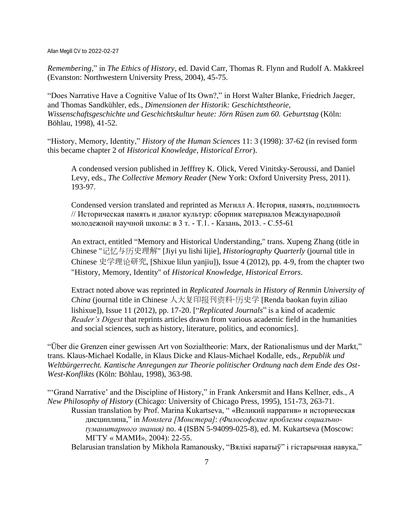*Remembering*," in *The Ethics of History*, ed. David Carr, Thomas R. Flynn and Rudolf A. Makkreel (Evanston: Northwestern University Press, 2004), 45-75.

"Does Narrative Have a Cognitive Value of Its Own?," in Horst Walter Blanke, Friedrich Jaeger, and Thomas Sandkühler, eds., *Dimensionen der Historik: Geschichtstheorie, Wissenschaftsgeschichte und Geschichtskultur heute: Jörn Rüsen zum 60. Geburtstag* (Köln: Böhlau, 1998), 41-52.

"History, Memory, Identity," *History of the Human Sciences* 11: 3 (1998): 37-62 (in revised form this became chapter 2 of *Historical Knowledge, Historical Error*).

A condensed version published in Jefffrey K. Olick, Vered Vinitsky-Seroussi, and Daniel Levy, eds., *The Collective Memory Reader* (New York: Oxford University Press, 2011). 193-97.

Condensed version translated and reprinted as Мегилл А. История, память, подлинность // Историческая память и диалог культур: сборник материалов Международной молодежной научной школы: в 3 т. - Т.1. - Казань, 2013. - С.55-61

An extract, entitled "Memory and Historical Understanding," trans. Xupeng Zhang (title in Chinese "记忆与历史理解" [Jiyi yu lishi lijie], *Historiography Quarterly* (journal title in Chinese 史学理论研究, [Shixue lilun yanjiu]), Issue 4 (2012), pp. 4-9, from the chapter two "History, Memory, Identity" of *Historical Knowledge, Historical Errors*.

Extract noted above was reprinted in *Replicated Journals in History of Renmin University of China* (journal title in Chinese 人大复印报刊资料·历史学 [Renda baokan fuyin ziliao lishixue]), Issue 11 (2012), pp. 17-20. ["*Replicated Journals*" is a kind of academic *Reader's Digest* that reprints articles drawn from various academic field in the humanities and social sciences, such as history, literature, politics, and economics].

"Über die Grenzen einer gewissen Art von Sozialtheorie: Marx, der Rationalismus und der Markt," trans. Klaus-Michael Kodalle, in Klaus Dicke and Klaus-Michael Kodalle, eds., *Republik und Weltbürgerrecht. Kantische Anregungen zur Theorie politischer Ordnung nach dem Ende des Ost-West-Konflikts* (Köln: Böhlau, 1998), 363-98.

"'Grand Narrative' and the Discipline of History," in Frank Ankersmit and Hans Kellner, eds., *A New Philosophy of History* (Chicago: University of Chicago Press, 1995), 151-73, 263-71. Russian translation by Prof. Marina Kukartseva, " «Великий нарратив» и историческая дисциплина," in *Monstera [Монстера]*: *(Философские проблемы социалъноґуманитарного знания)* no. 4 (ISBN 5-94099-025-8), ed. M. Kukartseva (Moscow: МГТУ « МАМИ», 2004): 22-55.

Belarusian translation by Mikhola Ramanousky, "Вялікі наратыў" і гістарычная навука,"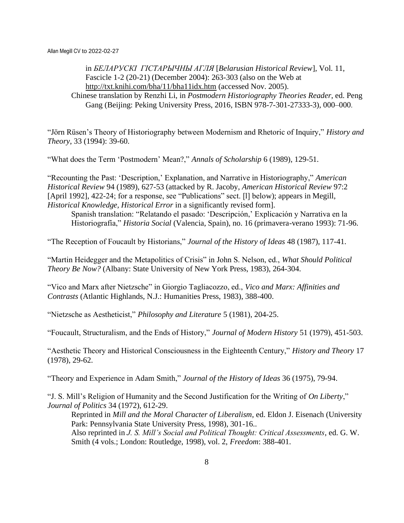in *БЕЛАРУСКІ ГІСТАРЫЧНЫ АГЛЯ* [*Belarusian Historical Review*]*,* Vol*.* 11, Fascicle 1-2 (20-21) (December 2004): 263-303 (also on the Web at <http://txt.knihi.com/bha/11/bha11idx.htm> (accessed Nov. 2005). Chinese translation by Renzhi Li, in *Postmodern Historiography Theories Reader*, ed. Peng

Gang (Beijing: Peking University Press, 2016, ISBN 978-7-301-27333-3), 000–000.

"Jörn Rüsen's Theory of Historiography between Modernism and Rhetoric of Inquiry," *History and Theory*, 33 (1994): 39-60.

"What does the Term 'Postmodern' Mean?," *Annals of Scholarship* 6 (1989), 129-51.

"Recounting the Past: 'Description,' Explanation, and Narrative in Historiography," *American Historical Review* 94 (1989), 627-53 (attacked by R. Jacoby, *American Historical Review* 97:2 [April 1992], 422-24; for a response, see "Publications" sect. [1] below); appears in Megill, *Historical Knowledge, Historical Error* in a significantly revised form].

Spanish translation: "Relatando el pasado: 'Descripción,' Explicación y Narrativa en la Historiografía," *Historia Social* (Valencia, Spain), no. 16 (primavera-verano 1993): 71-96.

"The Reception of Foucault by Historians," *Journal of the History of Ideas* 48 (1987), 117-41.

"Martin Heidegger and the Metapolitics of Crisis" in John S. Nelson, ed., *What Should Political Theory Be Now?* (Albany: State University of New York Press, 1983), 264-304.

"Vico and Marx after Nietzsche" in Giorgio Tagliacozzo, ed., *Vico and Marx: Affinities and Contrasts* (Atlantic Highlands, N.J.: Humanities Press, 1983), 388-400.

"Nietzsche as Aestheticist," *Philosophy and Literature* 5 (1981), 204-25.

"Foucault, Structuralism, and the Ends of History," *Journal of Modern History* 51 (1979), 451-503.

"Aesthetic Theory and Historical Consciousness in the Eighteenth Century," *History and Theory* 17 (1978), 29-62.

"Theory and Experience in Adam Smith," *Journal of the History of Ideas* 36 (1975), 79-94.

"J. S. Mill's Religion of Humanity and the Second Justification for the Writing of *On Liberty*," *Journal of Politics* 34 (1972), 612-29.

Reprinted in *Mill and the Moral Character of Liberalism*, ed. Eldon J. Eisenach (University Park: Pennsylvania State University Press, 1998), 301-16.. Also reprinted in *J. S. Mill's Social and Political Thought: Critical Assessments*, ed. G. W. Smith (4 vols.; London: Routledge, 1998), vol. 2, *Freedom*: 388-401.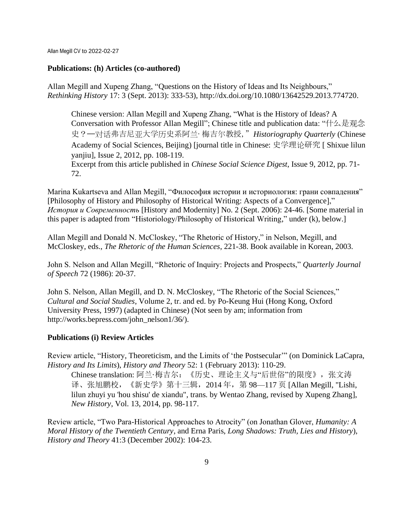### **Publications: (h) Articles (co-authored)**

Allan Megill and Xupeng Zhang, "Questions on the History of Ideas and Its Neighbours," *Rethinking History* 17: 3 (Sept. 2013): 333-53), http://dx.doi.org/10.1080/13642529.2013.774720.

Chinese version: Allan Megill and Xupeng Zhang, "What is the History of Ideas? A Conversation with Professor Allan Megill"; Chinese title and publication data: "什么是观念 史?——对话弗吉尼亚大学历史系阿兰·梅吉尔教授,"*Historiography Quarterly* (Chinese Academy of Social Sciences, Beijing) [journal title in Chinese: 史学理论研究 [ Shixue lilun yanjiu], Issue 2, 2012, pp. 108-119.

Excerpt from this article published in *Chinese Social Science Digest*, Issue 9, 2012, pp. 71- 72.

Marina Kukartseva and Allan Megill, "Философия истории и историология: грани совпадения" [Philosophy of History and Philosophy of Historical Writing: Aspects of a Convergence]," *История и Современность* [History and Modernity] No. 2 (Sept. 2006): 24-46. [Some material in this paper is adapted from "Historiology/Philosophy of Historical Writing," under (k), below.]

Allan Megill and Donald N. McCloskey, "The Rhetoric of History," in Nelson, Megill, and McCloskey, eds., *The Rhetoric of the Human Sciences*, 221-38. Book available in Korean, 2003.

John S. Nelson and Allan Megill, "Rhetoric of Inquiry: Projects and Prospects," *Quarterly Journal of Speech* 72 (1986): 20-37.

John S. Nelson, Allan Megill, and D. N. McCloskey, "The Rhetoric of the Social Sciences," *Cultural and Social Studies*, Volume 2, tr. and ed. by Po-Keung Hui (Hong Kong, Oxford University Press, 1997) (adapted in Chinese) (Not seen by am; information from http://works.bepress.com/john\_nelson1/36/).

## **Publications (i) Review Articles**

Review article, "History, Theoreticism, and the Limits of 'the Postsecular'" (on Dominick LaCapra, *History and Its Limits*), *History and Theory* 52: 1 (February 2013): 110-29.

Chinese translation: 阿兰·梅吉尔: 《历史、理论主义与"后世俗"的限度》, 张文涛 译、张旭鹏校,《新史学》第十三辑,2014 年,第 98—117 页 [Allan Megill, "Lishi, lilun zhuyi yu 'hou shisu' de xiandu", trans. by Wentao Zhang, revised by Xupeng Zhang], *New History*, Vol. 13, 2014, pp. 98-117.

Review article, "Two Para-Historical Approaches to Atrocity" (on Jonathan Glover, *Humanity: A Moral History of the Twentieth Century*, and Erna Paris, *Long Shadows: Truth, Lies and History*), *History and Theory* 41:3 (December 2002): 104-23.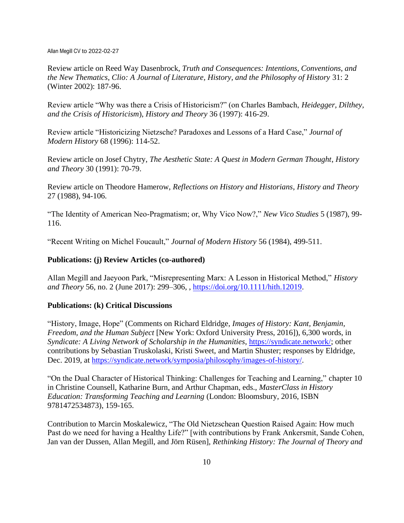Review article on Reed Way Dasenbrock, *Truth and Consequences: Intentions, Conventions, and the New Thematics*, *Clio: A Journal of Literature, History, and the Philosophy of History* 31: 2 (Winter 2002): 187-96.

Review article "Why was there a Crisis of Historicism?" (on Charles Bambach, *Heidegger, Dilthey, and the Crisis of Historicism*), *History and Theory* 36 (1997): 416-29.

Review article "Historicizing Nietzsche? Paradoxes and Lessons of a Hard Case," *Journal of Modern History* 68 (1996): 114-52.

Review article on Josef Chytry, *The Aesthetic State: A Quest in Modern German Thought*, *History and Theory* 30 (1991): 70-79.

Review article on Theodore Hamerow, *Reflections on History and Historians*, *History and Theory* 27 (1988), 94-106.

"The Identity of American Neo-Pragmatism; or, Why Vico Now?," *New Vico Studies* 5 (1987), 99- 116.

"Recent Writing on Michel Foucault," *Journal of Modern History* 56 (1984), 499-511.

# **Publications: (j) Review Articles (co-authored)**

Allan Megill and Jaeyoon Park, "Misrepresenting Marx: A Lesson in Historical Method," *History and Theory* 56, no. 2 (June 2017): 299–306, , [https://doi.org/10.1111/hith.12019.](https://doi.org/10.1111/hith.12019)

# **Publications: (k) Critical Discussions**

"History, Image, Hope" (Comments on Richard Eldridge, *Images of History: Kant, Benjamin, Freedom, and the Human Subject* [New York: Oxford University Press, 2016]), 6,300 words, in *Syndicate: A Living Network of Scholarship in the Humanities*, [https://syndicate.network/;](https://syndicate.network/) other contributions by Sebastian Truskolaski, Kristi Sweet, and Martin Shuster; responses by Eldridge, Dec. 2019, at [https://syndicate.network/symposia/philosophy/images-of-history/.](https://syndicate.network/symposia/philosophy/images-of-history/)

"On the Dual Character of Historical Thinking: Challenges for Teaching and Learning," chapter 10 in Christine Counsell, Katharine Burn, and Arthur Chapman, eds., *MasterClass in History Education: Transforming Teaching and Learning* (London: Bloomsbury, 2016, ISBN 9781472534873), 159-165.

Contribution to Marcin Moskalewicz, "The Old Nietzschean Question Raised Again: How much Past do we need for having a Healthy Life?" [with contributions by Frank Ankersmit, Sande Cohen, Jan van der Dussen, Allan Megill, and Jörn Rüsen], *Rethinking History: The Journal of Theory and*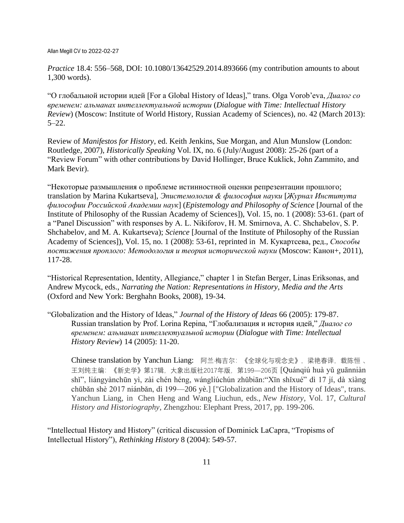*Practice* 18.4: 556–568, DOI: 10.1080/13642529.2014.893666 (my contribution amounts to about 1,300 words).

"О глобальной истории идей [For a Global History of Ideas]," trans. Olga Vorob'eva, *Диалог со временем: альманах интеллектуальной истории* (*Dialogue with Time: Intellectual History Review*) (Moscow: Institute of World History, Russian Academy of Sciences), no. 42 (March 2013): 5–22.

Review of *Manifestos for History*, ed. Keith Jenkins, Sue Morgan, and Alun Munslow (London: Routledge, 2007), *Historically Speaking* Vol. IX, no. 6 (July/August 2008): 25-26 (part of a "Review Forum" with other contributions by David Hollinger, Bruce Kuklick, John Zammito, and Mark Bevir).

"Некоторые размышления о проблеме истинностной оценки репрезентации прошлого; translation by Marina Kukartseva], *Эпистемология & философия науки* [*Журнал Института философии Российской Академии наук*] (*Epistemology and Philosophy of Science* [Journal of the Institute of Philosophy of the Russian Academy of Sciences]), Vol. 15, no. 1 (2008): 53-61. (part of a "Panel Discussion" with responses by A. L. Nikiforov, H. M. Smirnova, A. C. Shchabelov, S. P. Shchabelov, and M. A. Kukartseva); *Science* [Journal of the Institute of Philosophy of the Russian Academy of Sciences]), Vol. 15, no. 1 (2008): 53-61, reprinted in М. Кукартсева, ред., *Способы постижения проплого: Методология и теория исторической науки* (Moscow: Канон+, 2011), 117-28.

"Historical Representation, Identity, Allegiance," chapter 1 in Stefan Berger, Linas Eriksonas, and Andrew Mycock, eds., *Narrating the Nation: Representations in History, Media and the Arts*  (Oxford and New York: Berghahn Books, 2008), 19-34.

"Globalization and the History of Ideas," *Journal of the History of Ideas* 66 (2005): 179-87. Russian translation by Prof. Lorina Repina, "Глобализация и история идей," *Диалог со временем: альманах интеллектуальной истории* (*Dialogue with Time: Intellectual History Review*) 14 (2005): 11-20.

Chinese translation by Yanchun Liang: 阿兰·梅吉尔: 《全球化与观念史》, 梁艳春译, 载陈恒、 王刘纯主编:《新史学》第17辑,大象出版社2017年版,第199—206页 [Quánqiú huà yǔ guānniàn shǐ", liángyànchūn yì, zài chén héng, wángliúchún zhǔbiān:"Xīn shǐxué" dì 17 jí, dà xiàng chūbǎn shè 2017 niánbǎn, dì 199—206 yè.] ["Globalization and the History of Ideas", trans. Yanchun Liang, in Chen Heng and Wang Liuchun, eds., *New History*, Vol. 17, *Cultural History and Historiography*, Zhengzhou: Elephant Press, 2017, pp. 199-206.

"Intellectual History and History" (critical discussion of Dominick LaCapra, "Tropisms of Intellectual History"), *Rethinking History* 8 (2004): 549-57.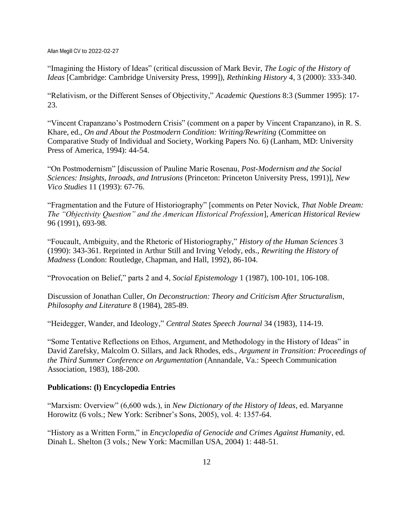"Imagining the History of Ideas" (critical discussion of Mark Bevir, *The Logic of the History of Ideas* [Cambridge: Cambridge University Press, 1999]), *Rethinking History* 4, 3 (2000): 333-340.

"Relativism, or the Different Senses of Objectivity," *Academic Questions* 8:3 (Summer 1995): 17- 23.

"Vincent Crapanzano's Postmodern Crisis" (comment on a paper by Vincent Crapanzano), in R. S. Khare, ed., *On and About the Postmodern Condition: Writing/Rewriting* (Committee on Comparative Study of Individual and Society, Working Papers No. 6) (Lanham, MD: University Press of America, 1994): 44-54.

"On Postmodernism" [discussion of Pauline Marie Rosenau, *Post-Modernism and the Social Sciences: Insights, Inroads, and Intrusions* (Princeton: Princeton University Press, 1991)], *New Vico Studies* 11 (1993): 67-76.

"Fragmentation and the Future of Historiography" [comments on Peter Novick, *That Noble Dream: The "Objectivity Question" and the American Historical Profession*], *American Historical Review* 96 (1991), 693-98.

"Foucault, Ambiguity, and the Rhetoric of Historiography," *History of the Human Sciences* 3 (1990): 343-361. Reprinted in Arthur Still and Irving Velody, eds., *Rewriting the History of Madness* (London: Routledge, Chapman, and Hall, 1992), 86-104.

"Provocation on Belief," parts 2 and 4, *Social Epistemology* 1 (1987), 100-101, 106-108.

Discussion of Jonathan Culler, *On Deconstruction: Theory and Criticism After Structuralism*, *Philosophy and Literature* 8 (1984), 285-89.

"Heidegger, Wander, and Ideology," *Central States Speech Journal* 34 (1983), 114-19.

"Some Tentative Reflections on Ethos, Argument, and Methodology in the History of Ideas" in David Zarefsky, Malcolm O. Sillars, and Jack Rhodes, eds., *Argument in Transition: Proceedings of the Third Summer Conference on Argumentation* (Annandale, Va.: Speech Communication Association, 1983), 188-200.

#### **Publications: (l) Encyclopedia Entries**

"Marxism: Overview" (6,600 wds.), in *New Dictionary of the History of Ideas*, ed. Maryanne Horowitz (6 vols.; New York: Scribner's Sons, 2005), vol. 4: 1357-64.

"History as a Written Form," in *Encyclopedia of Genocide and Crimes Against Humanity*, ed. Dinah L. Shelton (3 vols.; New York: Macmillan USA, 2004) 1: 448-51.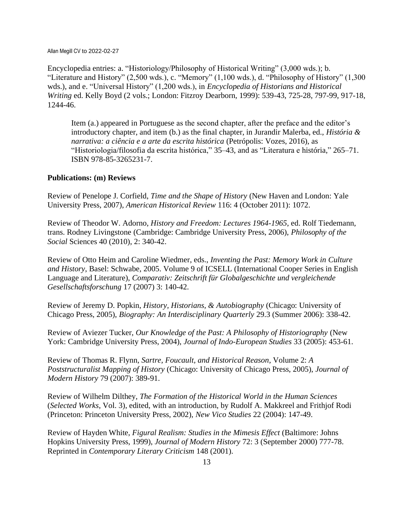Encyclopedia entries: a. "Historiology/Philosophy of Historical Writing" (3,000 wds.); b. "Literature and History" (2,500 wds.), c. "Memory" (1,100 wds.), d. "Philosophy of History" (1,300 wds.), and e. "Universal History" (1,200 wds.), in *Encyclopedia of Historians and Historical Writing* ed. Kelly Boyd (2 vols.; London: Fitzroy Dearborn, 1999): 539-43, 725-28, 797-99, 917-18, 1244-46.

Item (a.) appeared in Portuguese as the second chapter, after the preface and the editor's introductory chapter, and item (b.) as the final chapter, in Jurandir Malerba, ed., *História & narrativa: a ciência e a arte da escrita histórica* (Petrópolis: Vozes, 2016), as "Historiologia/filosofia da escrita histórica," 35–43, and as "Literatura e história," 265–71. ISBN 978-85-3265231-7.

# **Publications: (m) Reviews**

Review of Penelope J. Corfield, *Time and the Shape of History* (New Haven and London: Yale University Press, 2007), *American Historical Review* 116: 4 (October 2011): 1072.

Review of Theodor W. Adorno, *History and Freedom: Lectures 1964-1965*, ed. Rolf Tiedemann, trans. Rodney Livingstone (Cambridge: Cambridge University Press, 2006), *Philosophy of the Social* Sciences 40 (2010), 2: 340-42.

Review of Otto Heim and Caroline Wiedmer, eds., *Inventing the Past: Memory Work in Culture and History*, Basel: Schwabe, 2005. Volume 9 of ICSELL (International Cooper Series in English Language and Literature), *Comparativ: Zeitschrift für Globalgeschichte und vergleichende Gesellschaftsforschung* 17 (2007) 3: 140-42.

Review of Jeremy D. Popkin, *History, Historians, & Autobiography* (Chicago: University of Chicago Press, 2005), *Biography: An Interdisciplinary Quarterly* 29.3 (Summer 2006): 338-42.

Review of Aviezer Tucker, *Our Knowledge of the Past: A Philosophy of Historiography* (New York: Cambridge University Press, 2004), *Journal of Indo-European Studies* 33 (2005): 453-61.

Review of Thomas R. Flynn, *Sartre, Foucault, and Historical Reason*, Volume 2: *A Poststructuralist Mapping of History* (Chicago: University of Chicago Press, 2005), *Journal of Modern History* 79 (2007): 389-91.

Review of Wilhelm Dilthey, *The Formation of the Historical World in the Human Sciences* (*Selected Works*, Vol. 3), edited, with an introduction, by Rudolf A. Makkreel and Frithjof Rodi (Princeton: Princeton University Press, 2002), *New Vico Studies* 22 (2004): 147-49.

Review of Hayden White, *Figural Realism: Studies in the Mimesis Effect* (Baltimore: Johns Hopkins University Press, 1999), *Journal of Modern History* 72: 3 (September 2000) 777-78. Reprinted in *Contemporary Literary Criticism* 148 (2001).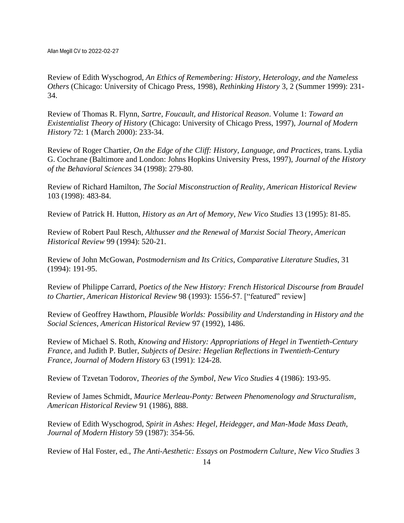Review of Edith Wyschogrod, *An Ethics of Remembering: History, Heterology, and the Nameless Others* (Chicago: University of Chicago Press, 1998), *Rethinking History* 3, 2 (Summer 1999): 231- 34.

Review of Thomas R. Flynn, *Sartre, Foucault, and Historical Reason*. Volume 1: *Toward an Existentialist Theory of History* (Chicago: University of Chicago Press, 1997), *Journal of Modern History* 72: 1 (March 2000): 233-34.

Review of Roger Chartier, *On the Edge of the Cliff: History, Language, and Practices*, trans. Lydia G. Cochrane (Baltimore and London: Johns Hopkins University Press, 1997), *Journal of the History of the Behavioral Sciences* 34 (1998): 279-80.

Review of Richard Hamilton, *The Social Misconstruction of Reality*, *American Historical Review* 103 (1998): 483-84.

Review of Patrick H. Hutton, *History as an Art of Memory*, *New Vico Studies* 13 (1995): 81-85.

Review of Robert Paul Resch, *Althusser and the Renewal of Marxist Social Theory*, *American Historical Review* 99 (1994): 520-21.

Review of John McGowan, *Postmodernism and Its Critics*, *Comparative Literature Studies*, 31 (1994): 191-95.

Review of Philippe Carrard, *Poetics of the New History: French Historical Discourse from Braudel to Chartier*, *American Historical Review* 98 (1993): 1556-57. ["featured" review]

Review of Geoffrey Hawthorn, *Plausible Worlds: Possibility and Understanding in History and the Social Sciences*, *American Historical Review* 97 (1992), 1486.

Review of Michael S. Roth, *Knowing and History: Appropriations of Hegel in Twentieth-Century France*, and Judith P. Butler, *Subjects of Desire: Hegelian Reflections in Twentieth-Century France*, *Journal of Modern History* 63 (1991): 124-28.

Review of Tzvetan Todorov, *Theories of the Symbol*, *New Vico Studies* 4 (1986): 193-95.

Review of James Schmidt, *Maurice Merleau-Ponty: Between Phenomenology and Structuralism*, *American Historical Review* 91 (1986), 888.

Review of Edith Wyschogrod, *Spirit in Ashes: Hegel, Heidegger, and Man-Made Mass Death*, *Journal of Modern History* 59 (1987): 354-56.

Review of Hal Foster, ed., *The Anti-Aesthetic: Essays on Postmodern Culture*, *New Vico Studies* 3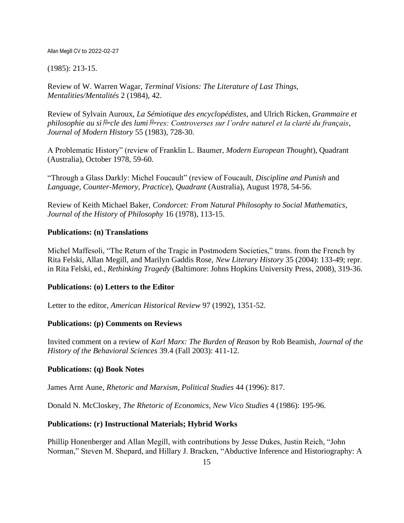## (1985): 213-15.

Review of W. Warren Wagar, *Terminal Visions: The Literature of Last Things, Mentalities/Mentalités* 2 (1984), 42.

Review of Sylvain Auroux, *La Sémiotique des encyclopédistes*, and Ulrich Ricken, *Grammaire et philosophie au sicle des lumires: Controverses sur l'ordre naturel et la clarté du français*, *Journal of Modern History* 55 (1983), 728-30.

A Problematic History" (review of Franklin L. Baumer, *Modern European Thought*), Quadrant (Australia), October 1978, 59-60.

"Through a Glass Darkly: Michel Foucault" (review of Foucault, *Discipline and Punish* and *Language, Counter-Memory, Practice*), *Quadrant* (Australia), August 1978, 54-56.

Review of Keith Michael Baker, *Condorcet: From Natural Philosophy to Social Mathematics*, *Journal of the History of Philosophy* 16 (1978), 113-15.

# **Publications: (n) Translations**

Michel Maffesoli, "The Return of the Tragic in Postmodern Societies," trans. from the French by Rita Felski, Allan Megill, and Marilyn Gaddis Rose, *New Literary History* 35 (2004): 133-49; repr. in Rita Felski, ed., *Rethinking Tragedy* (Baltimore: Johns Hopkins University Press, 2008), 319-36.

## **Publications: (o) Letters to the Editor**

Letter to the editor, *American Historical Review* 97 (1992), 1351-52.

## **Publications: (p) Comments on Reviews**

Invited comment on a review of *Karl Marx: The Burden of Reason* by Rob Beamish, *Journal of the History of the Behavioral Sciences* 39.4 (Fall 2003): 411-12.

## **Publications: (q) Book Notes**

James Arnt Aune, *Rhetoric and Marxism*, *Political Studies* 44 (1996): 817.

Donald N. McCloskey, *The Rhetoric of Economics*, *New Vico Studies* 4 (1986): 195-96.

# **Publications: (r) Instructional Materials; Hybrid Works**

Phillip Honenberger and Allan Megill, with contributions by Jesse Dukes, Justin Reich, "John Norman," Steven M. Shepard, and Hillary J. Bracken, "Abductive Inference and Historiography: A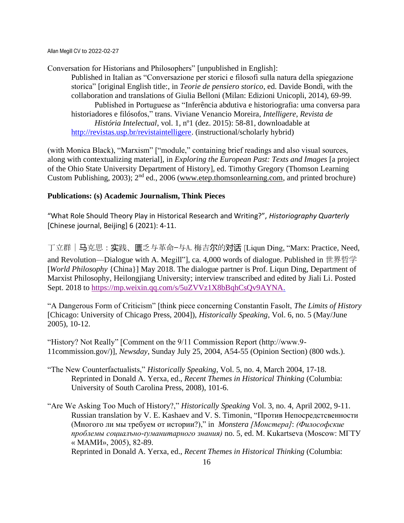Conversation for Historians and Philosophers" [unpublished in English]:

Published in Italian as "Conversazione per storici e filosofi sulla natura della spiegazione storica" [original English title:, in *Teorie de pensiero storico*, ed. Davide Bondì, with the collaboration and translations of Giulia Belloni (Milan: Edizioni Unicopli, 2014), 69-99. Published in Portuguese as "Inferência abdutiva e historiografia: uma conversa para historiadores e filósofos," trans. Viviane Venancio Moreira, *Intelligere, Revista de História Intelectual*, vol. 1, nº1 (dez. 2015): 58-81, downloadable at [http://revistas.usp.br/revistaintelligere.](http://revistas.usp.br/revistaintelligere) (instructional/scholarly hybrid)

(with Monica Black), "Marxism" ["module," containing brief readings and also visual sources, along with contextualizing material], in *Exploring the European Past: Texts and Images* [a project of the Ohio State University Department of History], ed. Timothy Gregory (Thomson Learning Custom Publishing, 2003); 2nd ed., 2006 [\(www.etep.thomsonlearning.com,](http://www.etep.thomsonlearning.com/) and printed brochure)

# **Publications: (s) Academic Journalism, Think Pieces**

"What Role Should Theory Play in Historical Research and Writing?", *Historiography Quarterly* [Chinese journal, Beijing] 6 (2021): 4-11.

丁立群|马克思:实践、匮乏与革命—与A.梅吉尔的对话 [Liqun Ding, "Marx: Practice, Need, and Revolution—Dialogue with A. Megill"], ca. 4,000 words of dialogue. Published in 世界哲学 [*World Philosophy* {China}] May 2018. The dialogue partner is Prof. Liqun Ding, Department of Marxist Philosophy, Heilongjiang University; interview transcribed and edited by Jiali Li. Posted Sept. 2018 to [https://mp.weixin.qq.com/s/5uZVVz1X8bBqhCsQv9AYNA.](https://mp.weixin.qq.com/s/5uZVVz1X8bBqhCsQv9AYNA)

"A Dangerous Form of Criticism" [think piece concerning Constantin Fasolt, *The Limits of History* [Chicago: University of Chicago Press, 2004]), *Historically Speaking*, Vol. 6, no. 5 (May/June 2005), 10-12.

"History? Not Really" [Comment on the 9/11 Commission Report (http://www.9- 11commission.gov/)], *Newsday*, Sunday July 25, 2004, A54-55 (Opinion Section) (800 wds.).

- "The New Counterfactualists," *Historically Speaking*, Vol. 5, no. 4, March 2004, 17-18. Reprinted in Donald A. Yerxa, ed., *Recent Themes in Historical Thinking* (Columbia: University of South Carolina Press, 2008), 101-6.
- "Are We Asking Too Much of History?," *Historically Speaking* Vol. 3, no. 4, April 2002, 9-11. Russian translation by V. E. Kashaev and V. S. Timonin, "Против Непосредстсвенности (Многого ли мы требуем от истории?)," in *Monstera [Монстера]*: *(Философские проблемы социалъно-ґуманитарного знания)* no. 5, ed. M. Kukartseva (Moscow: МГТУ « МАМИ», 2005), 82-89.

Reprinted in Donald A. Yerxa, ed., *Recent Themes in Historical Thinking* (Columbia: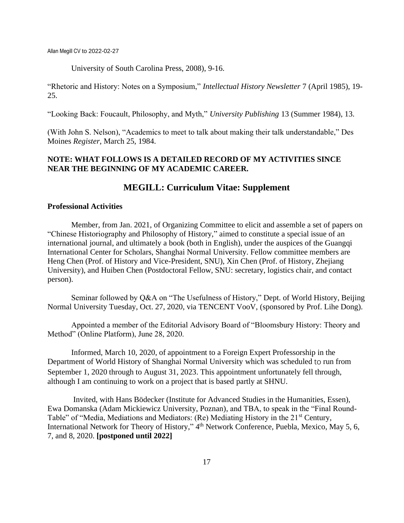University of South Carolina Press, 2008), 9-16.

"Rhetoric and History: Notes on a Symposium," *Intellectual History Newsletter* 7 (April 1985), 19- 25.

"Looking Back: Foucault, Philosophy, and Myth," *University Publishing* 13 (Summer 1984), 13.

(With John S. Nelson), "Academics to meet to talk about making their talk understandable," Des Moines *Register*, March 25, 1984.

# **NOTE: WHAT FOLLOWS IS A DETAILED RECORD OF MY ACTIVITIES SINCE NEAR THE BEGINNING OF MY ACADEMIC CAREER.**

# **MEGILL: Curriculum Vitae: Supplement**

## **Professional Activities**

Member, from Jan. 2021, of Organizing Committee to elicit and assemble a set of papers on "Chinese Historiography and Philosophy of History," aimed to constitute a special issue of an international journal, and ultimately a book (both in English), under the auspices of the Guangqi International Center for Scholars, Shanghai Normal University. Fellow committee members are Heng Chen (Prof. of History and Vice-President, SNU), Xin Chen (Prof. of History, Zhejiang University), and Huiben Chen (Postdoctoral Fellow, SNU: secretary, logistics chair, and contact person).

Seminar followed by Q&A on "The Usefulness of History," Dept. of World History, Beijing Normal University Tuesday, Oct. 27, 2020, via TENCENT VooV, (sponsored by Prof. Lihe Dong).

Appointed a member of the Editorial Advisory Board of "Bloomsbury History: Theory and Method" (Online Platform), June 28, 2020.

Informed, March 10, 2020, of appointment to a Foreign Expert Professorship in the Department of World History of Shanghai Normal University which was scheduled to run from September 1, 2020 through to August 31, 2023. This appointment unfortunately fell through, although I am continuing to work on a project that is based partly at SHNU.

Invited, with Hans Bödecker (Institute for Advanced Studies in the Humanities, Essen), Ewa Domanska (Adam Mickiewicz University, Poznan), and TBA, to speak in the "Final Round-Table" of "Media, Mediations and Mediators: (Re) Mediating History in the 21<sup>st</sup> Century, International Network for Theory of History," 4<sup>th</sup> Network Conference, Puebla, Mexico, May 5, 6, 7, and 8, 2020. **[postponed until 2022]**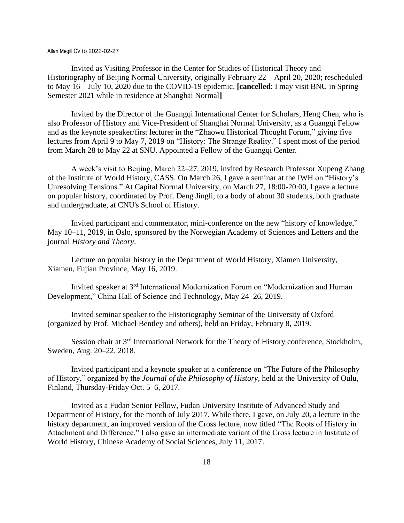Invited as Visiting Professor in the Center for Studies of Historical Theory and Historiography of Beijing Normal University, originally February 22—April 20, 2020; rescheduled to May 16—July 10, 2020 due to the COVID-19 epidemic. **[cancelled**: I may visit BNU in Spring Semester 2021 while in residence at Shanghai Normal**]**

Invited by the Director of the Guangqi International Center for Scholars, Heng Chen, who is also Professor of History and Vice-President of Shanghai Normal University, as a Guangqi Fellow and as the keynote speaker/first lecturer in the "Zhaowu Historical Thought Forum," giving five lectures from April 9 to May 7, 2019 on "History: The Strange Reality." I spent most of the period from March 28 to May 22 at SNU. Appointed a Fellow of the Guangqi Center.

A week's visit to Beijing, March 22–27, 2019, invited by Research Professor Xupeng Zhang of the Institute of World History, CASS. On March 26, I gave a seminar at the IWH on "History's Unresolving Tensions." At Capital Normal University, on March 27, 18:00-20:00, I gave a lecture on popular history, coordinated by Prof. Deng Jingli, to a body of about 30 students, both graduate and undergraduate, at CNU's School of History.

Invited participant and commentator, mini-conference on the new "history of knowledge," May 10–11, 2019, in Oslo, sponsored by the Norwegian Academy of Sciences and Letters and the journal *History and Theory*.

Lecture on popular history in the Department of World History, Xiamen University, Xiamen, Fujian Province, May 16, 2019.

Invited speaker at 3rd International Modernization Forum on "Modernization and Human Development," China Hall of Science and Technology, May 24–26, 2019.

Invited seminar speaker to the Historiography Seminar of the University of Oxford (organized by Prof. Michael Bentley and others), held on Friday, February 8, 2019.

Session chair at 3<sup>rd</sup> International Network for the Theory of History conference, Stockholm, Sweden, Aug. 20–22, 2018.

Invited participant and a keynote speaker at a conference on "The Future of the Philosophy of History," organized by the *Journal of the Philosophy of History*, held at the University of Oulu, Finland, Thursday-Friday Oct. 5–6, 2017.

Invited as a Fudan Senior Fellow, Fudan University Institute of Advanced Study and Department of History, for the month of July 2017. While there, I gave, on July 20, a lecture in the history department, an improved version of the Cross lecture, now titled "The Roots of History in Attachment and Difference." I also gave an intermediate variant of the Cross lecture in Institute of World History, Chinese Academy of Social Sciences, July 11, 2017.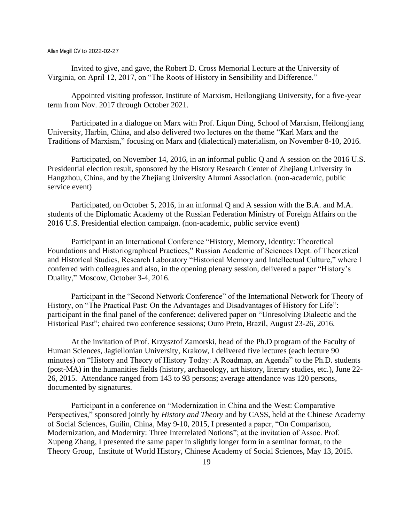Invited to give, and gave, the Robert D. Cross Memorial Lecture at the University of Virginia, on April 12, 2017, on "The Roots of History in Sensibility and Difference."

Appointed visiting professor, Institute of Marxism, Heilongjiang University, for a five-year term from Nov. 2017 through October 2021.

Participated in a dialogue on Marx with Prof. Liqun Ding, School of Marxism, Heilongjiang University, Harbin, China, and also delivered two lectures on the theme "Karl Marx and the Traditions of Marxism," focusing on Marx and (dialectical) materialism, on November 8-10, 2016.

Participated, on November 14, 2016, in an informal public Q and A session on the 2016 U.S. Presidential election result, sponsored by the History Research Center of Zhejiang University in Hangzhou, China, and by the Zhejiang University Alumni Association. (non-academic, public service event)

Participated, on October 5, 2016, in an informal Q and A session with the B.A. and M.A. students of the Diplomatic Academy of the Russian Federation Ministry of Foreign Affairs on the 2016 U.S. Presidential election campaign. (non-academic, public service event)

Participant in an International Conference "History, Memory, Identity: Theoretical Foundations and Historiographical Practices," Russian Academic of Sciences Dept. of Theoretical and Historical Studies, Research Laboratory "Historical Memory and Intellectual Culture," where I conferred with colleagues and also, in the opening plenary session, delivered a paper "History's Duality," Moscow, October 3-4, 2016.

Participant in the "Second Network Conference" of the International Network for Theory of History, on "The Practical Past: On the Advantages and Disadvantages of History for Life": participant in the final panel of the conference; delivered paper on "Unresolving Dialectic and the Historical Past"; chaired two conference sessions; Ouro Preto, Brazil, August 23-26, 2016.

At the invitation of Prof. Krzysztof Zamorski, head of the Ph.D program of the Faculty of Human Sciences, Jagiellonian University, Krakow, I delivered five lectures (each lecture 90 minutes) on "History and Theory of History Today: A Roadmap, an Agenda" to the Ph.D. students (post-MA) in the humanities fields (history, archaeology, art history, literary studies, etc.), June 22- 26, 2015. Attendance ranged from 143 to 93 persons; average attendance was 120 persons, documented by signatures.

Participant in a conference on "Modernization in China and the West: Comparative Perspectives," sponsored jointly by *History and Theory* and by CASS, held at the Chinese Academy of Social Sciences, Guilin, China, May 9-10, 2015, I presented a paper, "On Comparison, Modernization, and Modernity: Three Interrelated Notions"; at the invitation of Assoc. Prof. Xupeng Zhang, I presented the same paper in slightly longer form in a seminar format, to the Theory Group, Institute of World History, Chinese Academy of Social Sciences, May 13, 2015.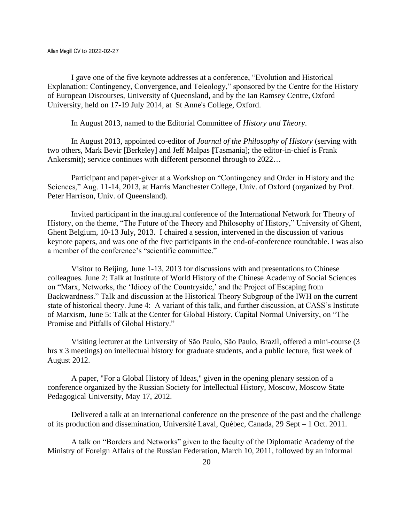I gave one of the five keynote addresses at a conference, "Evolution and Historical Explanation: Contingency, Convergence, and Teleology," sponsored by the Centre for the History of European Discourses, University of Queensland, and by the Ian Ramsey Centre, Oxford University, held on 17-19 July 2014, at St Anne's College, Oxford.

In August 2013, named to the Editorial Committee of *History and Theory*.

In August 2013, appointed co-editor of *Journal of the Philosophy of History* (serving with two others, Mark Bevir [Berkeley] and Jeff Malpas **[**Tasmania]; the editor-in-chief is Frank Ankersmit); service continues with different personnel through to 2022…

Participant and paper-giver at a Workshop on "Contingency and Order in History and the Sciences," Aug. 11-14, 2013, at Harris Manchester College, Univ. of Oxford (organized by Prof. Peter Harrison, Univ. of Queensland).

Invited participant in the inaugural conference of the International Network for Theory of History, on the theme, "The Future of the Theory and Philosophy of History," University of Ghent, Ghent Belgium, 10-13 July, 2013. I chaired a session, intervened in the discussion of various keynote papers, and was one of the five participants in the end-of-conference roundtable. I was also a member of the conference's "scientific committee."

Visitor to Beijing, June 1-13, 2013 for discussions with and presentations to Chinese colleagues. June 2: Talk at Institute of World History of the Chinese Academy of Social Sciences on "Marx, Networks, the 'Idiocy of the Countryside,' and the Project of Escaping from Backwardness." Talk and discussion at the Historical Theory Subgroup of the IWH on the current state of historical theory. June 4: A variant of this talk, and further discussion, at CASS's Institute of Marxism, June 5: Talk at the Center for Global History, Capital Normal University, on "The Promise and Pitfalls of Global History."

Visiting lecturer at the University of São Paulo, São Paulo, Brazil, offered a mini-course (3 hrs x 3 meetings) on intellectual history for graduate students, and a public lecture, first week of August 2012.

A paper, "For a Global History of Ideas," given in the opening plenary session of a conference organized by the Russian Society for Intellectual History, Moscow, Moscow State Pedagogical University, May 17, 2012.

Delivered a talk at an international conference on the presence of the past and the challenge of its production and dissemination, Université Laval, Québec, Canada, 29 Sept – 1 Oct. 2011.

A talk on "Borders and Networks" given to the faculty of the Diplomatic Academy of the Ministry of Foreign Affairs of the Russian Federation, March 10, 2011, followed by an informal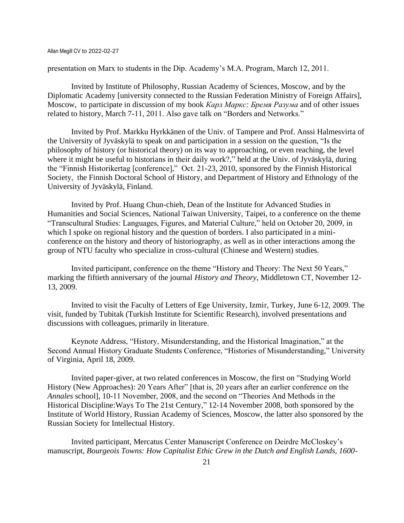presentation on Marx to students in the Dip. Academy's M.A. Program, March 12, 2011.

Invited by Institute of Philosophy, Russian Academy of Sciences, Moscow, and by the Diplomatic Academy [university connected to the Russian Federation Ministry of Foreign Affairs], Moscow, to participate in discussion of my book *Карл Маркс: Бремя Разума* and of other issues related to history, March 7-11, 2011. Also gave talk on "Borders and Networks."

Invited by Prof. Markku Hyrkkänen of the Univ. of Tampere and Prof. Anssi Halmesvirta of the University of Jyväskylä to speak on and participation in a session on the question, "Is the philosophy of history (or historical theory) on its way to approaching, or even reaching, the level where it might be useful to historians in their daily work?," held at the Univ. of Jyväskylä, during the "Finnish Historikertag [conference]," Oct. 21-23, 2010, sponsored by the Finnish Historical Society, the Finnish Doctoral School of History, and Department of History and Ethnology of the University of Jyväskylä, Finland.

Invited by Prof. Huang Chun-chieh, Dean of the Institute for Advanced Studies in Humanities and Social Sciences, National Taiwan University, Taipei, to a conference on the theme "Transcultural Studies: Languages, Figures, and Material Culture," held on October 20, 2009, in which I spoke on regional history and the question of borders. I also participated in a miniconference on the history and theory of historiography, as well as in other interactions among the group of NTU faculty who specialize in cross-cultural (Chinese and Western) studies.

Invited participant, conference on the theme "History and Theory: The Next 50 Years," marking the fiftieth anniversary of the journal *History and Theory*, Middletown CT, November 12- 13, 2009.

Invited to visit the Faculty of Letters of Ege University, Izmir, Turkey, June 6-12, 2009. The visit, funded by Tubitak (Turkish Institute for Scientific Research), involved presentations and discussions with colleagues, primarily in literature.

Keynote Address, "History, Misunderstanding, and the Historical Imagination," at the Second Annual History Graduate Students Conference, "Histories of Misunderstanding," University of Virginia, April 18, 2009.

Invited paper-giver, at two related conferences in Moscow, the first on "Studying World History (New Approaches): 20 Years After" [that is, 20 years after an earlier conference on the *Annales* school], 10-11 November, 2008, and the second on "Theories And Methods in the Historical Discipline:Ways To The 21st Century," 12-14 November 2008, both sponsored by the Institute of World History, Russian Academy of Sciences, Moscow, the latter also sponsored by the Russian Society for Intellectual History.

Invited participant, Mercatus Center Manuscript Conference on Deirdre McCloskey's manuscript, *Bourgeois Towns: How Capitalist Ethic Grew in the Dutch and English Lands, 1600-*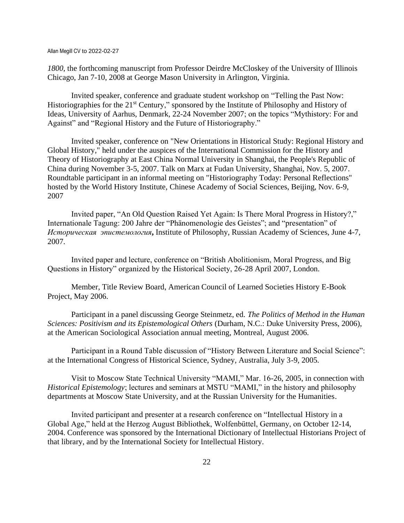*1800*, the forthcoming manuscript from Professor Deirdre McCloskey of the University of Illinois Chicago, Jan 7-10, 2008 at George Mason University in Arlington, Virginia.

Invited speaker, conference and graduate student workshop on "Telling the Past Now: Historiographies for the 21<sup>st</sup> Century," sponsored by the Institute of Philosophy and History of Ideas, University of Aarhus, Denmark, 22-24 November 2007; on the topics "Mythistory: For and Against" and "Regional History and the Future of Historiography."

Invited speaker, conference on "New Orientations in Historical Study: Regional History and Global History," held under the auspices of the International Commission for the History and Theory of Historiography at [East China Normal University](http://www.ecnu.edu.cn/2005english/English.htm) in [Shanghai,](http://www.travelchinaguide.com/cityguides/shanghai.htm) the People's Republic of China during November 3-5, 2007. Talk on Marx at Fudan University, Shanghai, Nov. 5, 2007. Roundtable participant in an informal meeting on "Historiography Today: Personal Reflections" hosted by the World History Institute, Chinese Academy of Social Sciences, Beijing, Nov. 6-9, 2007

Invited paper, "An Old Question Raised Yet Again: Is There Moral Progress in History?," Internationale Tagung: 200 Jahre der "Phänomenologie des Geistes"; and "presentation" of *Историческая эпистемология***,** Institute of Philosophy, Russian Academy of Sciences, June 4-7, 2007.

Invited paper and lecture, conference on "British Abolitionism, Moral Progress, and Big Questions in History" organized by the Historical Society, 26-28 April 2007, London.

Member, Title Review Board, American Council of Learned Societies History E-Book Project, May 2006.

Participant in a panel discussing George Steinmetz, ed. *The Politics of Method in the Human Sciences: Positivism and its Epistemological Others* (Durham, N.C.: Duke University Press, 2006), at the American Sociological Association annual meeting, Montreal, August 2006.

Participant in a Round Table discussion of "History Between Literature and Social Science": at the International Congress of Historical Science, Sydney, Australia, July 3-9, 2005.

Visit to Moscow State Technical University "MAMI," Mar. 16-26, 2005, in connection with *Historical Epistemology*; lectures and seminars at MSTU "MAMI," in the history and philosophy departments at Moscow State University, and at the Russian University for the Humanities.

Invited participant and presenter at a research conference on "Intellectual History in a Global Age," held at the Herzog August Bibliothek, Wolfenbüttel, Germany, on October 12-14, 2004. Conference was sponsored by the International Dictionary of Intellectual Historians Project of that library, and by the International Society for Intellectual History.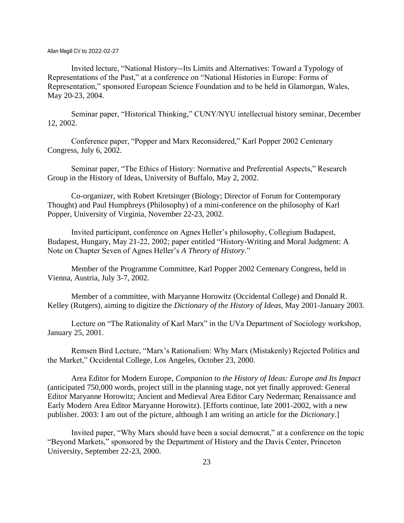Invited lecture, "National History--Its Limits and Alternatives: Toward a Typology of Representations of the Past," at a conference on "National Histories in Europe: Forms of Representation," sponsored European Science Foundation and to be held in Glamorgan, Wales, May 20-23, 2004.

Seminar paper, "Historical Thinking," CUNY/NYU intellectual history seminar, December 12, 2002.

Conference paper, "Popper and Marx Reconsidered," Karl Popper 2002 Centenary Congress, July 6, 2002.

Seminar paper, "The Ethics of History: Normative and Preferential Aspects," Research Group in the History of Ideas, University of Buffalo, May 2, 2002.

Co-organizer, with Robert Kretsinger (Biology; Director of Forum for Contemporary Thought) and Paul Humphreys (Philosophy) of a mini-conference on the philosophy of Karl Popper, University of Virginia, November 22-23, 2002.

Invited participant, conference on Agnes Heller's philosophy, Collegium Budapest, Budapest, Hungary, May 21-22, 2002; paper entitled "History-Writing and Moral Judgment: A Note on Chapter Seven of Agnes Heller's *A Theory of History*."

Member of the Programme Committee, Karl Popper 2002 Centenary Congress, held in Vienna, Austria, July 3-7, 2002.

Member of a committee, with Maryanne Horowitz (Occidental College) and Donald R. Kelley (Rutgers), aiming to digitize the *Dictionary of the History of Ideas*, May 2001-January 2003.

Lecture on "The Rationality of Karl Marx" in the UVa Department of Sociology workshop, January 25, 2001.

Remsen Bird Lecture, "Marx's Rationalism: Why Marx (Mistakenly) Rejected Politics and the Market," Occidental College, Los Angeles, October 23, 2000.

Area Editor for Modern Europe, *Companion to the History of Ideas: Europe and Its Impact* (anticipated 750,000 words, project still in the planning stage, not yet finally approved: General Editor Maryanne Horowitz; Ancient and Medieval Area Editor Cary Nederman; Renaissance and Early Modern Area Editor Maryanne Horowitz). [Efforts continue, late 2001-2002, with a new publisher. 2003: I am out of the picture, although I am writing an article for the *Dictionary*.]

Invited paper, "Why Marx should have been a social democrat," at a conference on the topic "Beyond Markets," sponsored by the Department of History and the Davis Center, Princeton University, September 22-23, 2000.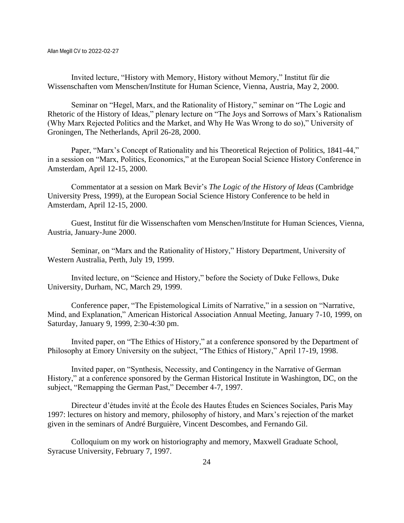Invited lecture, "History with Memory, History without Memory," Institut für die Wissenschaften vom Menschen/Institute for Human Science, Vienna, Austria, May 2, 2000.

Seminar on "Hegel, Marx, and the Rationality of History," seminar on "The Logic and Rhetoric of the History of Ideas," plenary lecture on "The Joys and Sorrows of Marx's Rationalism (Why Marx Rejected Politics and the Market, and Why He Was Wrong to do so)," University of Groningen, The Netherlands, April 26-28, 2000.

Paper, "Marx's Concept of Rationality and his Theoretical Rejection of Politics, 1841-44," in a session on "Marx, Politics, Economics," at the European Social Science History Conference in Amsterdam, April 12-15, 2000.

Commentator at a session on Mark Bevir's *The Logic of the History of Ideas* (Cambridge University Press, 1999), at the European Social Science History Conference to be held in Amsterdam, April 12-15, 2000.

Guest, Institut für die Wissenschaften vom Menschen/Institute for Human Sciences, Vienna, Austria, January-June 2000.

Seminar, on "Marx and the Rationality of History," History Department, University of Western Australia, Perth, July 19, 1999.

Invited lecture, on "Science and History," before the Society of Duke Fellows, Duke University, Durham, NC, March 29, 1999.

Conference paper, "The Epistemological Limits of Narrative," in a session on "Narrative, Mind, and Explanation," American Historical Association Annual Meeting, January 7-10, 1999, on Saturday, January 9, 1999, 2:30-4:30 pm.

Invited paper, on "The Ethics of History," at a conference sponsored by the Department of Philosophy at Emory University on the subject, "The Ethics of History," April 17-19, 1998.

Invited paper, on "Synthesis, Necessity, and Contingency in the Narrative of German History," at a conference sponsored by the German Historical Institute in Washington, DC, on the subject, "Remapping the German Past," December 4-7, 1997.

Directeur d'études invité at the École des Hautes Études en Sciences Sociales, Paris May 1997: lectures on history and memory, philosophy of history, and Marx's rejection of the market given in the seminars of André Burguière, Vincent Descombes, and Fernando Gil.

Colloquium on my work on historiography and memory, Maxwell Graduate School, Syracuse University, February 7, 1997.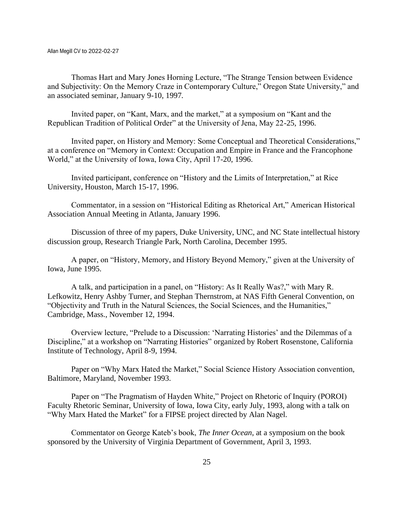Thomas Hart and Mary Jones Horning Lecture, "The Strange Tension between Evidence and Subjectivity: On the Memory Craze in Contemporary Culture," Oregon State University," and an associated seminar, January 9-10, 1997.

Invited paper, on "Kant, Marx, and the market," at a symposium on "Kant and the Republican Tradition of Political Order" at the University of Jena, May 22-25, 1996.

Invited paper, on History and Memory: Some Conceptual and Theoretical Considerations," at a conference on "Memory in Context: Occupation and Empire in France and the Francophone World," at the University of Iowa, Iowa City, April 17-20, 1996.

Invited participant, conference on "History and the Limits of Interpretation," at Rice University, Houston, March 15-17, 1996.

Commentator, in a session on "Historical Editing as Rhetorical Art," American Historical Association Annual Meeting in Atlanta, January 1996.

Discussion of three of my papers, Duke University, UNC, and NC State intellectual history discussion group, Research Triangle Park, North Carolina, December 1995.

A paper, on "History, Memory, and History Beyond Memory," given at the University of Iowa, June 1995.

A talk, and participation in a panel, on "History: As It Really Was?," with Mary R. Lefkowitz, Henry Ashby Turner, and Stephan Thernstrom, at NAS Fifth General Convention, on "Objectivity and Truth in the Natural Sciences, the Social Sciences, and the Humanities," Cambridge, Mass., November 12, 1994.

Overview lecture, "Prelude to a Discussion: 'Narrating Histories' and the Dilemmas of a Discipline," at a workshop on "Narrating Histories" organized by Robert Rosenstone, California Institute of Technology, April 8-9, 1994.

Paper on "Why Marx Hated the Market," Social Science History Association convention, Baltimore, Maryland, November 1993.

Paper on "The Pragmatism of Hayden White," Project on Rhetoric of Inquiry (POROI) Faculty Rhetoric Seminar, University of Iowa, Iowa City, early July, 1993, along with a talk on "Why Marx Hated the Market" for a FIPSE project directed by Alan Nagel.

Commentator on George Kateb's book, *The Inner Ocean*, at a symposium on the book sponsored by the University of Virginia Department of Government, April 3, 1993.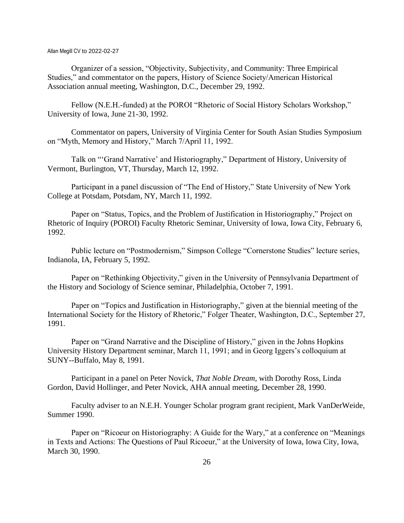Organizer of a session, "Objectivity, Subjectivity, and Community: Three Empirical Studies," and commentator on the papers, History of Science Society/American Historical Association annual meeting, Washington, D.C., December 29, 1992.

Fellow (N.E.H.-funded) at the POROI "Rhetoric of Social History Scholars Workshop," University of Iowa, June 21-30, 1992.

Commentator on papers, University of Virginia Center for South Asian Studies Symposium on "Myth, Memory and History," March 7/April 11, 1992.

Talk on "'Grand Narrative' and Historiography," Department of History, University of Vermont, Burlington, VT, Thursday, March 12, 1992.

Participant in a panel discussion of "The End of History," State University of New York College at Potsdam, Potsdam, NY, March 11, 1992.

Paper on "Status, Topics, and the Problem of Justification in Historiography," Project on Rhetoric of Inquiry (POROI) Faculty Rhetoric Seminar, University of Iowa, Iowa City, February 6, 1992.

Public lecture on "Postmodernism," Simpson College "Cornerstone Studies" lecture series, Indianola, IA, February 5, 1992.

Paper on "Rethinking Objectivity," given in the University of Pennsylvania Department of the History and Sociology of Science seminar, Philadelphia, October 7, 1991.

Paper on "Topics and Justification in Historiography," given at the biennial meeting of the International Society for the History of Rhetoric," Folger Theater, Washington, D.C., September 27, 1991.

Paper on "Grand Narrative and the Discipline of History," given in the Johns Hopkins University History Department seminar, March 11, 1991; and in Georg Iggers's colloquium at SUNY--Buffalo, May 8, 1991.

Participant in a panel on Peter Novick, *That Noble Dream*, with Dorothy Ross, Linda Gordon, David Hollinger, and Peter Novick, AHA annual meeting, December 28, 1990.

Faculty adviser to an N.E.H. Younger Scholar program grant recipient, Mark VanDerWeide, Summer 1990.

Paper on "Ricoeur on Historiography: A Guide for the Wary," at a conference on "Meanings" in Texts and Actions: The Questions of Paul Ricoeur," at the University of Iowa, Iowa City, Iowa, March 30, 1990.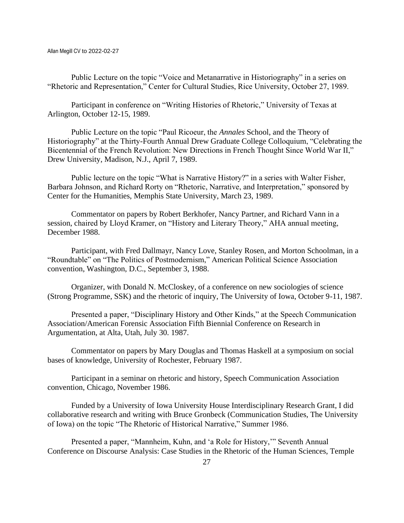Public Lecture on the topic "Voice and Metanarrative in Historiography" in a series on "Rhetoric and Representation," Center for Cultural Studies, Rice University, October 27, 1989.

Participant in conference on "Writing Histories of Rhetoric," University of Texas at Arlington, October 12-15, 1989.

Public Lecture on the topic "Paul Ricoeur, the *Annales* School, and the Theory of Historiography" at the Thirty-Fourth Annual Drew Graduate College Colloquium, "Celebrating the Bicentennial of the French Revolution: New Directions in French Thought Since World War II," Drew University, Madison, N.J., April 7, 1989.

Public lecture on the topic "What is Narrative History?" in a series with Walter Fisher, Barbara Johnson, and Richard Rorty on "Rhetoric, Narrative, and Interpretation," sponsored by Center for the Humanities, Memphis State University, March 23, 1989.

Commentator on papers by Robert Berkhofer, Nancy Partner, and Richard Vann in a session, chaired by Lloyd Kramer, on "History and Literary Theory," AHA annual meeting, December 1988.

Participant, with Fred Dallmayr, Nancy Love, Stanley Rosen, and Morton Schoolman, in a "Roundtable" on "The Politics of Postmodernism," American Political Science Association convention, Washington, D.C., September 3, 1988.

Organizer, with Donald N. McCloskey, of a conference on new sociologies of science (Strong Programme, SSK) and the rhetoric of inquiry, The University of Iowa, October 9-11, 1987.

Presented a paper, "Disciplinary History and Other Kinds," at the Speech Communication Association/American Forensic Association Fifth Biennial Conference on Research in Argumentation, at Alta, Utah, July 30. 1987.

Commentator on papers by Mary Douglas and Thomas Haskell at a symposium on social bases of knowledge, University of Rochester, February 1987.

Participant in a seminar on rhetoric and history, Speech Communication Association convention, Chicago, November 1986.

Funded by a University of Iowa University House Interdisciplinary Research Grant, I did collaborative research and writing with Bruce Gronbeck (Communication Studies, The University of Iowa) on the topic "The Rhetoric of Historical Narrative," Summer 1986.

Presented a paper, "Mannheim, Kuhn, and 'a Role for History,'" Seventh Annual Conference on Discourse Analysis: Case Studies in the Rhetoric of the Human Sciences, Temple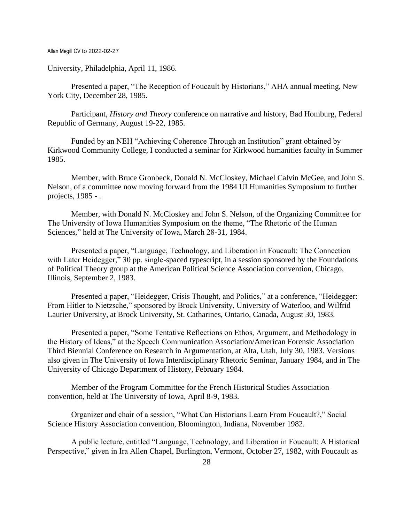University, Philadelphia, April 11, 1986.

Presented a paper, "The Reception of Foucault by Historians," AHA annual meeting, New York City, December 28, 1985.

Participant, *History and Theory* conference on narrative and history, Bad Homburg, Federal Republic of Germany, August 19-22, 1985.

Funded by an NEH "Achieving Coherence Through an Institution" grant obtained by Kirkwood Community College, I conducted a seminar for Kirkwood humanities faculty in Summer 1985.

Member, with Bruce Gronbeck, Donald N. McCloskey, Michael Calvin McGee, and John S. Nelson, of a committee now moving forward from the 1984 UI Humanities Symposium to further projects, 1985 - .

Member, with Donald N. McCloskey and John S. Nelson, of the Organizing Committee for The University of Iowa Humanities Symposium on the theme, "The Rhetoric of the Human Sciences," held at The University of Iowa, March 28-31, 1984.

Presented a paper, "Language, Technology, and Liberation in Foucault: The Connection with Later Heidegger," 30 pp. single-spaced typescript, in a session sponsored by the Foundations of Political Theory group at the American Political Science Association convention, Chicago, Illinois, September 2, 1983.

Presented a paper, "Heidegger, Crisis Thought, and Politics," at a conference, "Heidegger: From Hitler to Nietzsche," sponsored by Brock University, University of Waterloo, and Wilfrid Laurier University, at Brock University, St. Catharines, Ontario, Canada, August 30, 1983.

Presented a paper, "Some Tentative Reflections on Ethos, Argument, and Methodology in the History of Ideas," at the Speech Communication Association/American Forensic Association Third Biennial Conference on Research in Argumentation, at Alta, Utah, July 30, 1983. Versions also given in The University of Iowa Interdisciplinary Rhetoric Seminar, January 1984, and in The University of Chicago Department of History, February 1984.

Member of the Program Committee for the French Historical Studies Association convention, held at The University of Iowa, April 8-9, 1983.

Organizer and chair of a session, "What Can Historians Learn From Foucault?," Social Science History Association convention, Bloomington, Indiana, November 1982.

A public lecture, entitled "Language, Technology, and Liberation in Foucault: A Historical Perspective," given in Ira Allen Chapel, Burlington, Vermont, October 27, 1982, with Foucault as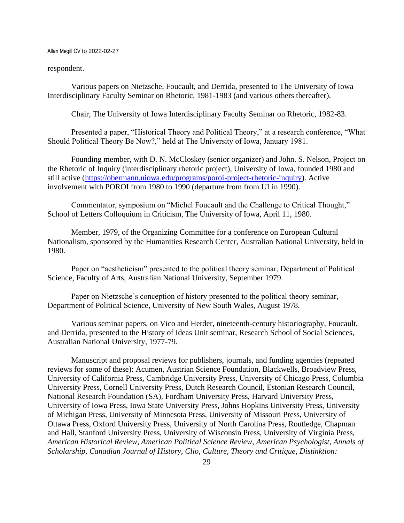#### respondent.

Various papers on Nietzsche, Foucault, and Derrida, presented to The University of Iowa Interdisciplinary Faculty Seminar on Rhetoric, 1981-1983 (and various others thereafter).

Chair, The University of Iowa Interdisciplinary Faculty Seminar on Rhetoric, 1982-83.

Presented a paper, "Historical Theory and Political Theory," at a research conference, "What Should Political Theory Be Now?," held at The University of Iowa, January 1981.

Founding member, with D. N. McCloskey (senior organizer) and John. S. Nelson, Project on the Rhetoric of Inquiry (interdisciplinary rhetoric project), University of Iowa, founded 1980 and still active [\(https://obermann.uiowa.edu/programs/poroi-project-rhetoric-inquiry\)](https://obermann.uiowa.edu/programs/poroi-project-rhetoric-inquiry). Active involvement with POROI from 1980 to 1990 (departure from from UI in 1990).

Commentator, symposium on "Michel Foucault and the Challenge to Critical Thought," School of Letters Colloquium in Criticism, The University of Iowa, April 11, 1980.

Member, 1979, of the Organizing Committee for a conference on European Cultural Nationalism, sponsored by the Humanities Research Center, Australian National University, held in 1980.

Paper on "aestheticism" presented to the political theory seminar, Department of Political Science, Faculty of Arts, Australian National University, September 1979.

Paper on Nietzsche's conception of history presented to the political theory seminar, Department of Political Science, University of New South Wales, August 1978.

Various seminar papers, on Vico and Herder, nineteenth-century historiography, Foucault, and Derrida, presented to the History of Ideas Unit seminar, Research School of Social Sciences, Australian National University, 1977-79.

Manuscript and proposal reviews for publishers, journals, and funding agencies (repeated reviews for some of these): Acumen, Austrian Science Foundation, Blackwells, Broadview Press, University of California Press, Cambridge University Press, University of Chicago Press, Columbia University Press, Cornell University Press, Dutch Research Council, Estonian Research Council, National Research Foundation (SA), Fordham University Press, Harvard University Press, University of Iowa Press, Iowa State University Press, Johns Hopkins University Press, University of Michigan Press, University of Minnesota Press, University of Missouri Press, University of Ottawa Press, Oxford University Press, University of North Carolina Press, Routledge, Chapman and Hall, Stanford University Press, University of Wisconsin Press, University of Virginia Press, *American Historical Review*, *American Political Science Review*, *American Psychologist*, *Annals of Scholarship*, *Canadian Journal of History*, *Clio*, *Culture, Theory and Critique*, *Distinktion:*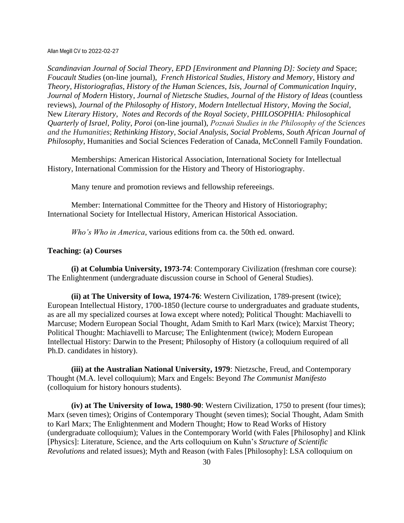*Scandinavian Journal of Social Theory*, *EPD [Environment and Planning D]: Society and* Space; *Foucault Studies* (on-line journal), *French Historical Studies*, *History and Memory*, History *and Theory*, *Historiografias*, *History of the Human Sciences*, *Isis*, *Journal of Communication Inquiry*, *Journal of Modern* History, *Journal of Nietzsche Studies*, *Journal of the History of Ideas* (countless reviews), *Journal of the Philosophy of History*, *Modern Intellectual History*, *Moving the Social*, New *Literary History*, *Notes and Records of the Royal Society*, *PHILOSOPHIA: Philosophical Quarterly of Israel*, *Polity*, *Poroi* (on-line journal), *Poznań Studies in the Philosophy of the Sciences and the Humanities*; *Rethinking History*, *Social Analysis*, *Social Problems*, *South African Journal of Philosophy*, Humanities and Social Sciences Federation of Canada, McConnell Family Foundation.

Memberships: American Historical Association, International Society for Intellectual History, International Commission for the History and Theory of Historiography.

Many tenure and promotion reviews and fellowship refereeings.

Member: International Committee for the Theory and History of Historiography; International Society for Intellectual History, American Historical Association.

*Who's Who in America*, various editions from ca. the 50th ed. onward.

## **Teaching: (a) Courses**

**(i) at Columbia University, 1973-74**: Contemporary Civilization (freshman core course): The Enlightenment (undergraduate discussion course in School of General Studies).

**(ii) at The University of Iowa, 1974-76**: Western Civilization, 1789-present (twice); European Intellectual History, 1700-1850 (lecture course to undergraduates and graduate students, as are all my specialized courses at Iowa except where noted); Political Thought: Machiavelli to Marcuse; Modern European Social Thought, Adam Smith to Karl Marx (twice); Marxist Theory; Political Thought: Machiavelli to Marcuse; The Enlightenment (twice); Modern European Intellectual History: Darwin to the Present; Philosophy of History (a colloquium required of all Ph.D. candidates in history).

**(iii) at the Australian National University, 1979**: Nietzsche, Freud, and Contemporary Thought (M.A. level colloquium); Marx and Engels: Beyond *The Communist Manifesto* (colloquium for history honours students).

**(iv) at The University of Iowa, 1980-90**: Western Civilization, 1750 to present (four times); Marx (seven times); Origins of Contemporary Thought (seven times); Social Thought, Adam Smith to Karl Marx; The Enlightenment and Modern Thought; How to Read Works of History (undergraduate colloquium); Values in the Contemporary World (with Fales [Philosophy] and Klink [Physics]: Literature, Science, and the Arts colloquium on Kuhn's *Structure of Scientific Revolutions* and related issues); Myth and Reason (with Fales [Philosophy]: LSA colloquium on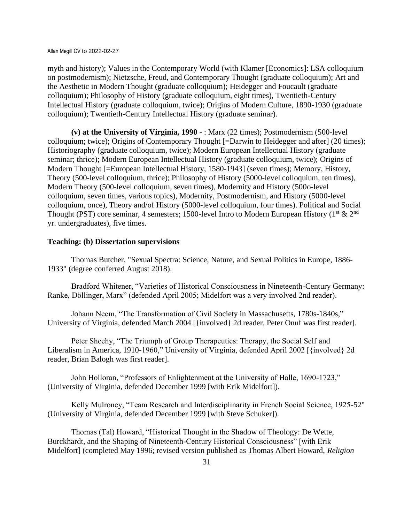myth and history); Values in the Contemporary World (with Klamer [Economics]: LSA colloquium on postmodernism); Nietzsche, Freud, and Contemporary Thought (graduate colloquium); Art and the Aesthetic in Modern Thought (graduate colloquium); Heidegger and Foucault (graduate colloquium); Philosophy of History (graduate colloquium, eight times), Twentieth-Century Intellectual History (graduate colloquium, twice); Origins of Modern Culture, 1890-1930 (graduate colloquium); Twentieth-Century Intellectual History (graduate seminar).

**(v) at the University of Virginia, 1990 -** : Marx (22 times); Postmodernism (500-level colloquium; twice); Origins of Contemporary Thought [=Darwin to Heidegger and after] (20 times); Historiography (graduate colloquium, twice); Modern European Intellectual History (graduate seminar; thrice); Modern European Intellectual History (graduate colloquium, twice); Origins of Modern Thought [=European Intellectual History, 1580-1943] (seven times); Memory, History, Theory (500-level colloquium, thrice); Philosophy of History (5000-level colloquium, ten times), Modern Theory (500-level colloquium, seven times), Modernity and History (500o-level colloquium, seven times, various topics), Modernity, Postmodernism, and History (5000-level colloquium, once), Theory and/of History (5000-level colloquium, four times). Political and Social Thought (PST) core seminar, 4 semesters; 1500-level Intro to Modern European History ( $1<sup>st</sup> \& 2<sup>nd</sup>$ ) yr. undergraduates), five times.

## **Teaching: (b) Dissertation supervisions**

Thomas Butcher, "Sexual Spectra: Science, Nature, and Sexual Politics in Europe, 1886- 1933" (degree conferred August 2018).

Bradford Whitener, "Varieties of Historical Consciousness in Nineteenth-Century Germany: Ranke, Döllinger, Marx" (defended April 2005; Midelfort was a very involved 2nd reader).

Johann Neem, "The Transformation of Civil Society in Massachusetts, 1780s-1840s," University of Virginia, defended March 2004 [{involved} 2d reader, Peter Onuf was first reader].

Peter Sheehy, "The Triumph of Group Therapeutics: Therapy, the Social Self and Liberalism in America, 1910-1960," University of Virginia, defended April 2002 [{involved} 2d reader, Brian Balogh was first reader].

John Holloran, "Professors of Enlightenment at the University of Halle, 1690-1723," (University of Virginia, defended December 1999 [with Erik Midelfort]).

Kelly Mulroney, "Team Research and Interdisciplinarity in French Social Science, 1925-52" (University of Virginia, defended December 1999 [with Steve Schuker]).

Thomas (Tal) Howard, "Historical Thought in the Shadow of Theology: De Wette, Burckhardt, and the Shaping of Nineteenth-Century Historical Consciousness" [with Erik Midelfort] (completed May 1996; revised version published as Thomas Albert Howard, *Religion*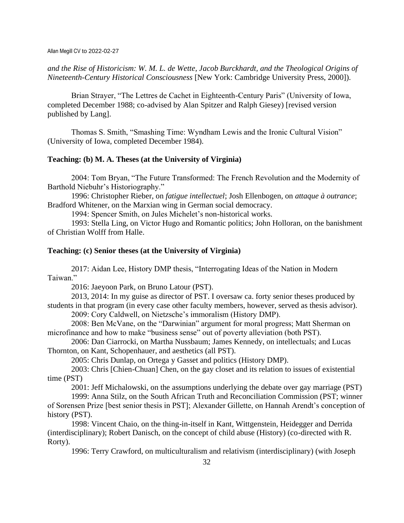*and the Rise of Historicism: W. M. L. de Wette, Jacob Burckhardt, and the Theological Origins of Nineteenth-Century Historical Consciousness* [New York: Cambridge University Press, 2000]).

Brian Strayer, "The Lettres de Cachet in Eighteenth-Century Paris" (University of Iowa, completed December 1988; co-advised by Alan Spitzer and Ralph Giesey) [revised version published by Lang].

Thomas S. Smith, "Smashing Time: Wyndham Lewis and the Ironic Cultural Vision" (University of Iowa, completed December 1984).

## **Teaching: (b) M. A. Theses (at the University of Virginia)**

2004: Tom Bryan, "The Future Transformed: The French Revolution and the Modernity of Barthold Niebuhr's Historiography."

1996: Christopher Rieber, on *fatigue intellectuel*; Josh Ellenbogen, on *attaque à outrance*; Bradford Whitener, on the Marxian wing in German social democracy.

1994: Spencer Smith, on Jules Michelet's non-historical works.

1993: Stella Ling, on Victor Hugo and Romantic politics; John Holloran, on the banishment of Christian Wolff from Halle.

### **Teaching: (c) Senior theses (at the University of Virginia)**

2017: Aidan Lee, History DMP thesis, "Interrogating Ideas of the Nation in Modern Taiwan."

2016: Jaeyoon Park, on Bruno Latour (PST).

2013, 2014: In my guise as director of PST. I oversaw ca. forty senior theses produced by students in that program (in every case other faculty members, however, served as thesis advisor).

2009: Cory Caldwell, on Nietzsche's immoralism (History DMP).

2008: Ben McVane, on the "Darwinian" argument for moral progress; Matt Sherman on microfinance and how to make "business sense" out of poverty alleviation (both PST).

2006: Dan Ciarrocki, on Martha Nussbaum; James Kennedy, on intellectuals; and Lucas Thornton, on Kant, Schopenhauer, and aesthetics (all PST).

2005: Chris Dunlap, on Ortega y Gasset and politics (History DMP).

2003: Chris [Chien-Chuan] Chen, on the gay closet and its relation to issues of existential time (PST)

2001: Jeff Michalowski, on the assumptions underlying the debate over gay marriage (PST)

1999: Anna Stilz, on the South African Truth and Reconciliation Commission (PST; winner of Sorensen Prize [best senior thesis in PST]; Alexander Gillette, on Hannah Arendt's conception of history (PST).

1998: Vincent Chaio, on the thing-in-itself in Kant, Wittgenstein, Heidegger and Derrida (interdisciplinary); Robert Danisch, on the concept of child abuse (History) (co-directed with R. Rorty).

1996: Terry Crawford, on multiculturalism and relativism (interdisciplinary) (with Joseph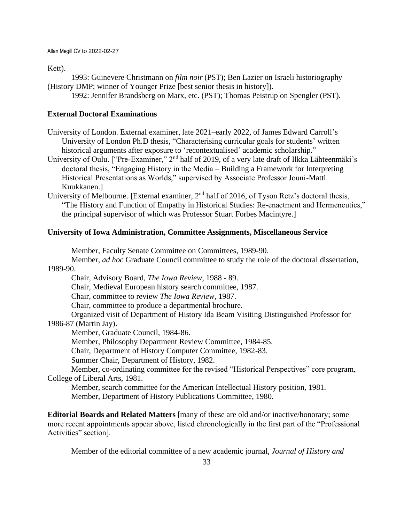Kett).

1993: Guinevere Christmann on *film noir* (PST); Ben Lazier on Israeli historiography (History DMP; winner of Younger Prize [best senior thesis in history]).

1992: Jennifer Brandsberg on Marx, etc. (PST); Thomas Peistrup on Spengler (PST).

## **External Doctoral Examinations**

University of London. External examiner, late 2021–early 2022, of James Edward Carroll's University of London Ph.D thesis, "Characterising curricular goals for students' written historical arguments after exposure to 'recontextualised' academic scholarship."

University of Oulu. ["Pre-Examiner," 2<sup>nd</sup> half of 2019, of a very late draft of Ilkka Lähteenmäki's doctoral thesis, "Engaging History in the Media – Building a Framework for Interpreting Historical Presentations as Worlds," supervised by Associate Professor Jouni-Matti Kuukkanen.]

University of Melbourne. [External examiner, 2<sup>nd</sup> half of 2016, of Tyson Retz's doctoral thesis, "The History and Function of Empathy in Historical Studies: Re-enactment and Hermeneutics," the principal supervisor of which was Professor Stuart Forbes Macintyre.]

## **University of Iowa Administration, Committee Assignments, Miscellaneous Service**

Member, Faculty Senate Committee on Committees, 1989-90.

Member, *ad hoc* Graduate Council committee to study the role of the doctoral dissertation, 1989-90.

Chair, Advisory Board, *The Iowa Review*, 1988 - 89.

Chair, Medieval European history search committee, 1987.

Chair, committee to review *The Iowa Review*, 1987.

Chair, committee to produce a departmental brochure.

Organized visit of Department of History Ida Beam Visiting Distinguished Professor for 1986-87 (Martin Jay).

Member, Graduate Council, 1984-86.

Member, Philosophy Department Review Committee, 1984-85.

Chair, Department of History Computer Committee, 1982-83.

Summer Chair, Department of History, 1982.

Member, co-ordinating committee for the revised "Historical Perspectives" core program, College of Liberal Arts, 1981.

Member, search committee for the American Intellectual History position, 1981.

Member, Department of History Publications Committee, 1980.

**Editorial Boards and Related Matters** [many of these are old and/or inactive/honorary; some more recent appointments appear above, listed chronologically in the first part of the "Professional Activities" section].

Member of the editorial committee of a new academic journal, *Journal of History and*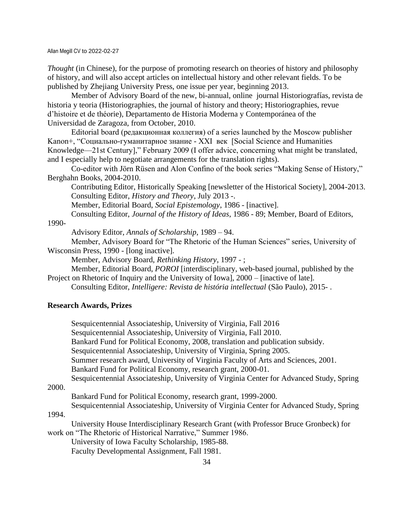*Thought* (in Chinese), for the purpose of promoting research on theories of history and philosophy of history, and will also accept articles on intellectual history and other relevant fields. To be published by Zhejiang University Press, one issue per year, beginning 2013.

Member of Advisory Board of the new, bi-annual, online journal Historiografías, revista de historia y teoria (Historiographies, the journal of history and theory; Historiographies, revue d'histoire et de théorie), Departamento de Historia Moderna y Contemporánea of the Universidad de Zaragoza, from October, 2010.

Editorial board (редакционная коллегия) of a series launched by the Moscow publisher Kanon+, "Социально-гуманитарное знание - XXI век [Social Science and Humanities Knowledge—21st Century]," February 2009 (I offer advice, concerning what might be translated, and I especially help to negotiate arrangements for the translation rights).

Co-editor with Jörn Rüsen and Alon Confino of the book series "Making Sense of History," Berghahn Books, 2004-2010.

Contributing Editor, Historically Speaking [newsletter of the Historical Society], 2004-2013. Consulting Editor, *History and Theory*, July 2013 -.

Member, Editorial Board, *Social Epistemology*, 1986 - [inactive].

Consulting Editor, *Journal of the History of Ideas*, 1986 - 89; Member, Board of Editors,

1990-

Advisory Editor, *Annals of Scholarship*, 1989 – 94.

Member, Advisory Board for "The Rhetoric of the Human Sciences" series, University of Wisconsin Press, 1990 - [long inactive].

Member, Advisory Board, *Rethinking History*, 1997 - ;

Member, Editorial Board, *POROI* [interdisciplinary, web-based journal, published by the Project on Rhetoric of Inquiry and the University of Iowa],  $2000 -$  [inactive of late].

Consulting Editor, *Intelligere: Revista de história intellectual* (São Paulo), 2015- .

## **Research Awards, Prizes**

Sesquicentennial Associateship, University of Virginia, Fall 2016 Sesquicentennial Associateship, University of Virginia, Fall 2010. Bankard Fund for Political Economy, 2008, translation and publication subsidy. Sesquicentennial Associateship, University of Virginia, Spring 2005. Summer research award, University of Virginia Faculty of Arts and Sciences, 2001. Bankard Fund for Political Economy, research grant, 2000-01. Sesquicentennial Associateship, University of Virginia Center for Advanced Study, Spring

2000.

Bankard Fund for Political Economy, research grant, 1999-2000.

Sesquicentennial Associateship, University of Virginia Center for Advanced Study, Spring

1994. University House Interdisciplinary Research Grant (with Professor Bruce Gronbeck) for work on "The Rhetoric of Historical Narrative," Summer 1986.

University of Iowa Faculty Scholarship, 1985-88.

Faculty Developmental Assignment, Fall 1981.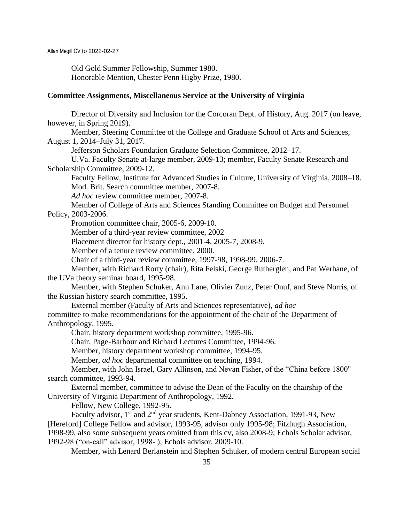Old Gold Summer Fellowship, Summer 1980. Honorable Mention, Chester Penn Higby Prize, 1980.

## **Committee Assignments, Miscellaneous Service at the University of Virginia**

Director of Diversity and Inclusion for the Corcoran Dept. of History, Aug. 2017 (on leave, however, in Spring 2019).

Member, Steering Committee of the College and Graduate School of Arts and Sciences, August 1, 2014–July 31, 2017.

Jefferson Scholars Foundation Graduate Selection Committee, 2012–17.

U.Va. Faculty Senate at-large member, 2009-13; member, Faculty Senate Research and Scholarship Committee, 2009-12.

Faculty Fellow, Institute for Advanced Studies in Culture, University of Virginia, 2008–18. Mod. Brit. Search committee member, 2007-8.

*Ad hoc* review committee member, 2007-8.

Member of College of Arts and Sciences Standing Committee on Budget and Personnel Policy, 2003-2006.

Promotion committee chair, 2005-6, 2009-10.

Member of a third-year review committee, 2002

Placement director for history dept., 2001-4, 2005-7, 2008-9.

Member of a tenure review committee, 2000.

Chair of a third-year review committee, 1997-98, 1998-99, 2006-7.

Member, with Richard Rorty (chair), Rita Felski, George Rutherglen, and Pat Werhane, of the UVa theory seminar board, 1995-98.

Member, with Stephen Schuker, Ann Lane, Olivier Zunz, Peter Onuf, and Steve Norris, of the Russian history search committee, 1995.

External member (Faculty of Arts and Sciences representative), *ad hoc*

committee to make recommendations for the appointment of the chair of the Department of Anthropology, 1995.

Chair, history department workshop committee, 1995-96.

Chair, Page-Barbour and Richard Lectures Committee, 1994-96.

Member, history department workshop committee, 1994-95.

Member, *ad hoc* departmental committee on teaching, 1994.

Member, with John Israel, Gary Allinson, and Nevan Fisher, of the "China before 1800" search committee, 1993-94.

External member, committee to advise the Dean of the Faculty on the chairship of the University of Virginia Department of Anthropology, 1992.

Fellow, New College, 1992-95.

Faculty advisor,  $1<sup>st</sup>$  and  $2<sup>nd</sup>$  year students, Kent-Dabney Association, 1991-93, New [Hereford] College Fellow and advisor, 1993-95, advisor only 1995-98; Fitzhugh Association, 1998-99, also some subsequent years omitted from this cv, also 2008-9; Echols Scholar advisor, 1992-98 ("on-call" advisor, 1998- ); Echols advisor, 2009-10.

Member, with Lenard Berlanstein and Stephen Schuker, of modern central European social